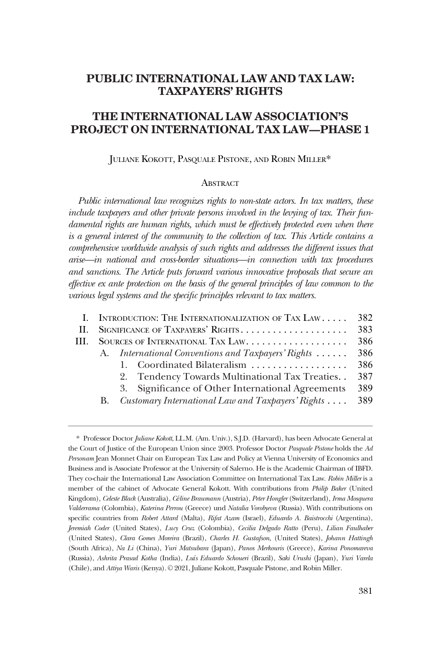# **PUBLIC INTERNATIONAL LAW AND TAX LAW: TAXPAYERS' RIGHTS**

# **THE INTERNATIONAL LAW ASSOCIATION'S PROJECT ON INTERNATIONAL TAX LAW—PHASE 1**

JULIANE KOKOTT, PASQUALE PISTONE, AND ROBIN MILLER\*

#### **ABSTRACT**

*Public international law recognizes rights to non-state actors. In tax matters, these include taxpayers and other private persons involved in the levying of tax. Their fundamental rights are human rights, which must be effectively protected even when there is a general interest of the community to the collection of tax. This Article contains a comprehensive worldwide analysis of such rights and addresses the different issues that arise—in national and cross-border situations—in connection with tax procedures and sanctions. The Article puts forward various innovative proposals that secure an effective ex ante protection on the basis of the general principles of law common to the various legal systems and the specific principles relevant to tax matters.* 

|      |    | I. INTRODUCTION: THE INTERNATIONALIZATION OF TAX LAW | 382 |
|------|----|------------------------------------------------------|-----|
| - H. |    |                                                      |     |
| Ш.   |    |                                                      | 386 |
|      | A. | International Conventions and Taxpayers' Rights      | 386 |
|      |    | 1. Coordinated Bilateralism                          | 386 |
|      |    | 2. Tendency Towards Multinational Tax Treaties       | 387 |
|      |    | 3. Significance of Other International Agreements    | 389 |
|      | В. | Customary International Law and Taxpayers' Rights    | 389 |
|      |    |                                                      |     |

<sup>\*</sup> Professor Doctor *Juliane Kokott*, LL.M. (Am. Univ.), S.J.D. (Harvard), has been Advocate General at the Court of Justice of the European Union since 2003. Professor Doctor *Pasquale Pistone* holds the *Ad*  Personam Jean Monnet Chair on European Tax Law and Policy at Vienna University of Economics and Business and is Associate Professor at the University of Salerno. He is the Academic Chairman of IBFD. They co-chair the International Law Association Committee on International Tax Law. *Robin Miller* is a member of the cabinet of Advocate General Kokott. With contributions from *Philip Baker* (United Kingdom), *Celeste Black* (Australia), *Céline Braumann* (Austria), *Peter Hongler* (Switzerland), *Irma Mosquera Valderrama* (Colombia), *Katerina Perrou* (Greece) und *Natalia Vorobyeva* (Russia). With contributions on specific countries from *Robert Attard* (Malta), *Rifat Azam* (Israel), *Eduardo A. Baistrocchi* (Argentina), *Jeremiah Coder* (United States), *Lucy Cruz* (Colombia), *Cecilia Delgado Ratto* (Peru), *Lilian Faulhaber*  (United States), *Clara Gomes Moreira* (Brazil), *Charles H. Gustafson*, (United States), *Johann Hattingh*  (South Africa), *Na Li* (China), *Yuri Matsubara* (Japan), *Panos Merkouris* (Greece), *Karina Ponomareva*  (Russia), *Ashrita Prasad Kotha* (India), *Luís Eduardo Schoueri* (Brazil), *Saki Urushi* (Japan), *Yuri Varela*  (Chile), and *Attiya Waris* (Kenya). © 2021, Juliane Kokott, Pasquale Pistone, and Robin Miller.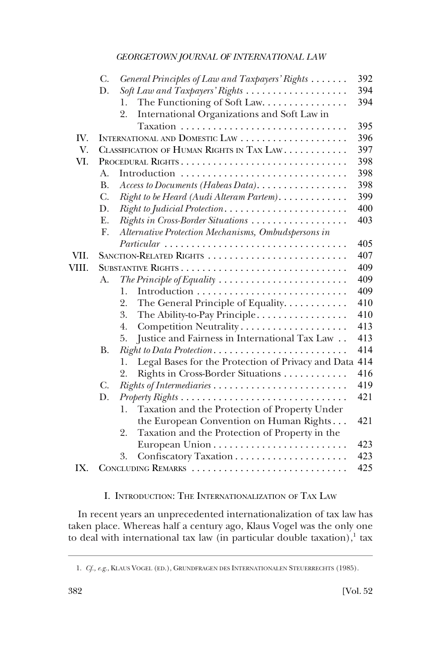<span id="page-1-0"></span>

|       | С.             | General Principles of Law and Taxpayers' Rights                              | 392 |
|-------|----------------|------------------------------------------------------------------------------|-----|
|       | D.             | Soft Law and Taxpayers' Rights                                               | 394 |
|       |                | The Functioning of Soft Law.<br>1.                                           | 394 |
|       |                | 2.<br>International Organizations and Soft Law in                            |     |
|       |                |                                                                              | 395 |
| IV.   |                |                                                                              | 396 |
| V.    |                | CLASSIFICATION OF HUMAN RIGHTS IN TAX LAW.                                   | 397 |
| VI.   |                |                                                                              | 398 |
|       | $A_{\cdot}$    | Introduction                                                                 | 398 |
|       | <b>B.</b>      | Access to Documents (Habeas Data). $\ldots \ldots \ldots \ldots \ldots$      | 398 |
|       | C.             | Right to be Heard (Audi Alteram Partem).                                     | 399 |
|       | D.             | Right to Judicial Protection                                                 | 400 |
|       | E.             | Rights in Cross-Border Situations                                            | 403 |
|       | F.             | Alternative Protection Mechanisms, Ombudspersons in                          |     |
|       |                | Particular                                                                   | 405 |
| VII.  |                |                                                                              | 407 |
| VIII. |                |                                                                              | 409 |
|       | A.             | The Principle of Equality $\ldots \ldots \ldots \ldots \ldots \ldots \ldots$ | 409 |
|       |                | 1.                                                                           | 409 |
|       |                | 2.<br>The General Principle of Equality.                                     | 410 |
|       |                | 3.<br>The Ability-to-Pay Principle                                           | 410 |
|       |                | Competition Neutrality<br>4.                                                 | 413 |
|       |                | Justice and Fairness in International Tax Law<br>5.                          | 413 |
|       | <b>B.</b>      | Right to Data Protection                                                     | 414 |
|       |                | Legal Bases for the Protection of Privacy and Data 414<br>1.                 |     |
|       |                | Rights in Cross-Border Situations<br>2.                                      | 416 |
|       | $\mathbf{C}$ . |                                                                              | 419 |
|       | D.             |                                                                              | 421 |
|       |                | Taxation and the Protection of Property Under<br>1.                          |     |
|       |                | the European Convention on Human Rights                                      | 421 |
|       |                | Taxation and the Protection of Property in the<br>2.                         |     |
|       |                |                                                                              | 423 |
|       |                | 3.                                                                           | 423 |
| IX.   |                | CONCLUDING REMARKS                                                           | 425 |

I. INTRODUCTION: THE INTERNATIONALIZATION OF TAX LAW

In recent years an unprecedented internationalization of tax law has taken place. Whereas half a century ago, Klaus Vogel was the only one to deal with international tax law (in particular double taxation), $\frac{1}{1}$  tax

<sup>1.</sup> *Cf., e.g.*, KLAUS VOGEL (ED.), GRUNDFRAGEN DES INTERNATIONALEN STEUERRECHTS (1985).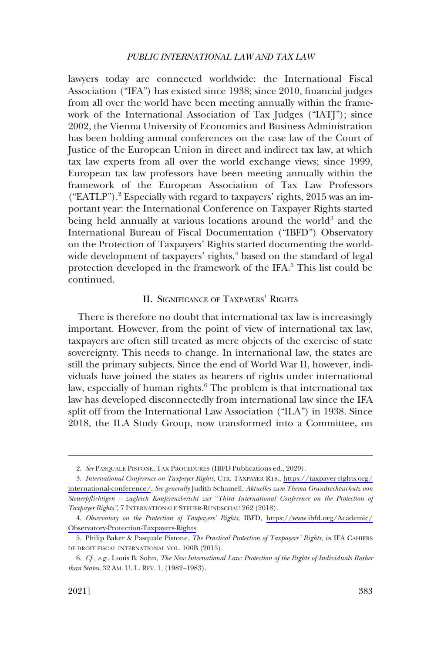<span id="page-2-0"></span>lawyers today are connected worldwide: the International Fiscal Association ("IFA") has existed since 1938; since 2010, financial judges from all over the world have been meeting annually within the framework of the International Association of Tax Judges ("IATJ"); since 2002, the Vienna University of Economics and Business Administration has been holding annual conferences on the case law of the Court of Justice of the European Union in direct and indirect tax law, at which tax law experts from all over the world exchange views; since 1999, European tax law professors have been meeting annually within the framework of the European Association of Tax Law Professors ("EATLP").<sup>2</sup> Especially with regard to taxpayers' rights, 2015 was an important year: the International Conference on Taxpayer Rights started being held annually at various locations around the world<sup>3</sup> and the International Bureau of Fiscal Documentation ("IBFD") Observatory on the Protection of Taxpayers' Rights started documenting the worldwide development of taxpayers' rights,<sup>4</sup> based on the standard of legal protection developed in the framework of the IFA.5 This list could be continued.

### II. SIGNIFICANCE OF TAXPAYERS' RIGHTS

There is therefore no doubt that international tax law is increasingly important. However, from the point of view of international tax law, taxpayers are often still treated as mere objects of the exercise of state sovereignty. This needs to change. In international law, the states are still the primary subjects. Since the end of World War II, however, individuals have joined the states as bearers of rights under international law, especially of human rights.<sup>6</sup> The problem is that international tax law has developed disconnectedly from international law since the IFA split off from the International Law Association ("ILA") in 1938. Since 2018, the ILA Study Group, now transformed into a Committee, on

<sup>2.</sup> *See* PASQUALE PISTONE, TAX PROCEDURES (IBFD Publications ed., 2020).

*International Conference on Taxpayer Rights*, CTR. TAXPAYER RTS., [https://taxpayer-rights.org/](https://taxpayer-rights.org/international-conference/)  3. [international-conference/](https://taxpayer-rights.org/international-conference/). *See generally* Judith Schamell, *Aktuelles zum Thema Grundrechtsschutz von Steuerpflichtigen – zugleich Konferenzbericht zur* "*Third International Conference on the Protection of Taxpayer Rights"*, 7 INTERNATIONALE STEUER-RUNDSCHAU 262 (2018).

*Observatory on the Protection of Taxpayers' Rights*, IBFD, [https://www.ibfd.org/Academic/](https://www.ibfd.org/Academic/Observatory-Protection-Taxpayers-Rights)  4. [Observatory-Protection-Taxpayers-Rights](https://www.ibfd.org/Academic/Observatory-Protection-Taxpayers-Rights).

<sup>5.</sup> Philip Baker & Pasquale Pistone, *The Practical Protection of Taxpayers¨ Rights*, *in* IFA CAHIERS DE DROIT FISCAL INTERNATIONAL VOL. 100B (2015).

<sup>6.</sup> *Cf., e.g.*, Louis B. Sohn, *The New International Law: Protection of the Rights of Individuals Rather than States*, 32 AM. U. L. REV. 1, (1982–1983).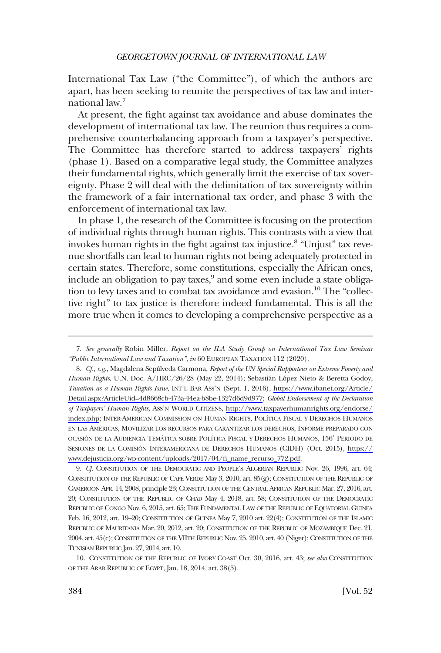International Tax Law ("the Committee"), of which the authors are apart, has been seeking to reunite the perspectives of tax law and international law.7

At present, the fight against tax avoidance and abuse dominates the development of international tax law. The reunion thus requires a comprehensive counterbalancing approach from a taxpayer's perspective. The Committee has therefore started to address taxpayers' rights (phase 1). Based on a comparative legal study, the Committee analyzes their fundamental rights, which generally limit the exercise of tax sovereignty. Phase 2 will deal with the delimitation of tax sovereignty within the framework of a fair international tax order, and phase 3 with the enforcement of international tax law.

In phase 1, the research of the Committee is focusing on the protection of individual rights through human rights. This contrasts with a view that invokes human rights in the fight against tax injustice.8 "Unjust" tax revenue shortfalls can lead to human rights not being adequately protected in certain states. Therefore, some constitutions, especially the African ones, include an obligation to pay taxes, $9$  and some even include a state obligation to levy taxes and to combat tax avoidance and evasion.<sup>10</sup> The "collective right" to tax justice is therefore indeed fundamental. This is all the more true when it comes to developing a comprehensive perspective as a

9. *Cf.* CONSTITUTION OF THE DEMOCRATIC AND PEOPLE'S ALGERIAN REPUBLIC Nov. 26, 1996, art. 64; CONSTITUTION OF THE REPUBLIC OF CAPE VERDE May 3, 2010, art. 85(g); CONSTITUTION OF THE REPUBLIC OF CAMEROON APR. 14, 2008, principle 23; CONSTITUTION OF THE CENTRAL AFRICAN REPUBLIC Mar. 27, 2016, art. 20; CONSTITUTION OF THE REPUBLIC OF CHAD May 4, 2018, art. 58; CONSTITUTION OF THE DEMOCRATIC REPUBLIC OF CONGO Nov. 6, 2015, art. 65; THE FUNDAMENTAL LAW OF THE REPUBLIC OF EQUATORIAL GUINEA Feb. 16, 2012, art. 19–20; CONSTITUTION OF GUINEA May 7, 2010 art. 22(4); CONSTITUTION OF THE ISLAMIC REPUBLIC OF MAURITANIA Mar. 20, 2012, art. 20; CONSTITUTION OF THE REPUBLIC OF MOZAMBIQUE Dec. 21, 2004, art. 45(c); CONSTITUTION OF THE VIITH REPUBLIC Nov. 25, 2010, art. 40 (Niger); CONSTITUTION OF THE TUNISIAN REPUBLIC Jan. 27, 2014, art. 10.

10. CONSTITUTION OF THE REPUBLIC OF IVORY COAST Oct. 30, 2016, art. 43; *see also* CONSTITUTION OF THE ARAB REPUBLIC OF EGYPT, Jan. 18, 2014, art. 38(5).

<sup>7.</sup> *See generally* Robin Miller, *Report on the ILA Study Group on International Tax Law Seminar "Public International Law and Taxation"*, *in* 60 EUROPEAN TAXATION 112 (2020).

*Cf., e.g.*, Magdalena Sepúlveda Carmona, *Report of the UN Special Rapporteur on Extreme Poverty and*  8. *Human Rights*, U.N. Doc. A/HRC/26/28 (May 22, 2014); Sebastián López Nieto & Beretta Godoy, *Taxation as a Human Rights Issue*, INT'L BAR ASS'N (Sept. 1, 2016), [https://www.ibanet.org/Article/](https://www.ibanet.org/Article/Detail.aspx?ArticleUid=4d8668cb-473a-44ea-b8be-1327d6d9d977)  [Detail.aspx?ArticleUid=4d8668cb-473a-44ea-b8be-1327d6d9d977;](https://www.ibanet.org/Article/Detail.aspx?ArticleUid=4d8668cb-473a-44ea-b8be-1327d6d9d977) *Global Endorsement of the Declaration of Taxpayers' Human Rights*, ASS'N WORLD CITIZENS, [http://www.taxpayerhumanrights.org/endorse/](http://www.taxpayerhumanrights.org/endorse/index.php)  [index.php;](http://www.taxpayerhumanrights.org/endorse/index.php) INTER-AMERICAN COMMISSION ON HUMAN RIGHTS, POLI´TICA FISCAL Y DERECHOS HUMANOS EN LAS AMÉRICAS, MOVILIZAR LOS RECURSOS PARA GARANTIZAR LOS DERECHOS, INFORME PREPARADO CON OCASIÓN DE LA AUDIENCIA TEMA´TICA SOBRE POLI´TICA FISCAL Y DERECHOS HUMANOS, 156˚ PERIODO DE SESIONES DE LA COMISIÓN INTERAMERICANA DE DERECHOS HUMANOS (CIDH) (Oct. 2015), [https://](https://www.dejusticia.org/wp-content/uploads/2017/04/fi_name_recurso_772.pdf)  [www.dejusticia.org/wp-content/uploads/2017/04/fi\\_name\\_recurso\\_772.pdf.](https://www.dejusticia.org/wp-content/uploads/2017/04/fi_name_recurso_772.pdf)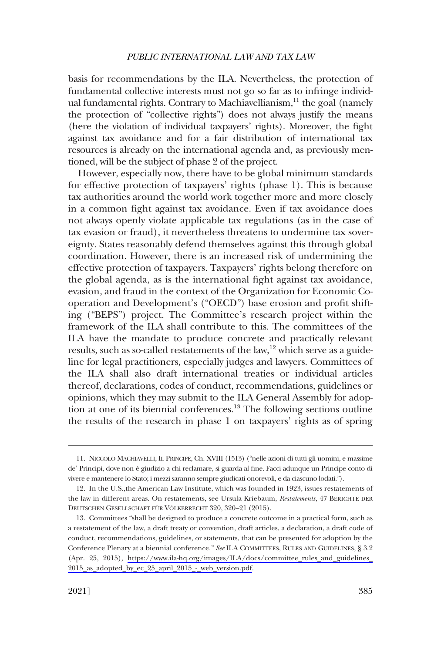basis for recommendations by the ILA. Nevertheless, the protection of fundamental collective interests must not go so far as to infringe individual fundamental rights. Contrary to Machiavellianism,<sup>11</sup> the goal (namely the protection of "collective rights") does not always justify the means (here the violation of individual taxpayers' rights). Moreover, the fight against tax avoidance and for a fair distribution of international tax resources is already on the international agenda and, as previously mentioned, will be the subject of phase 2 of the project.

However, especially now, there have to be global minimum standards for effective protection of taxpayers' rights (phase 1). This is because tax authorities around the world work together more and more closely in a common fight against tax avoidance. Even if tax avoidance does not always openly violate applicable tax regulations (as in the case of tax evasion or fraud), it nevertheless threatens to undermine tax sovereignty. States reasonably defend themselves against this through global coordination. However, there is an increased risk of undermining the effective protection of taxpayers. Taxpayers' rights belong therefore on the global agenda, as is the international fight against tax avoidance, evasion, and fraud in the context of the Organization for Economic Cooperation and Development's ("OECD") base erosion and profit shifting ("BEPS") project. The Committee's research project within the framework of the ILA shall contribute to this. The committees of the ILA have the mandate to produce concrete and practically relevant results, such as so-called restatements of the law,<sup>12</sup> which serve as a guideline for legal practitioners, especially judges and lawyers. Committees of the ILA shall also draft international treaties or individual articles thereof, declarations, codes of conduct, recommendations, guidelines or opinions, which they may submit to the ILA General Assembly for adoption at one of its biennial conferences.<sup>13</sup> The following sections outline the results of the research in phase 1 on taxpayers' rights as of spring

<sup>11.</sup> NICCOLÒ MACHIAVELLI, IL PRINCIPE, Ch. XVIII (1513) ("nelle azioni di tutti gli uomini, e massime de' Principi, dove non e` giudizio a chi reclamare, si guarda al fine. Facci adunque un Principe conto di vivere e mantenere lo Stato; i mezzi saranno sempre giudicati onorevoli, e da ciascuno lodati.").

<sup>12.</sup> In the U.S.,the American Law Institute, which was founded in 1923, issues restatements of the law in different areas. On restatements, see Ursula Kriebaum, *Restatements*, 47 BERICHTE DER DEUTSCHEN GESELLSCHAFT FÜR VÖLKERRECHT 320, 320-21 (2015).

<sup>13.</sup> Committees "shall be designed to produce a concrete outcome in a practical form, such as a restatement of the law, a draft treaty or convention, draft articles, a declaration, a draft code of conduct, recommendations, guidelines, or statements, that can be presented for adoption by the Conference Plenary at a biennial conference." *See* ILA COMMITTEES, RULES AND GUIDELINES, § 3.2 (Apr. 25, 2015), [https://www.ila-hq.org/images/ILA/docs/committee\\_rules\\_and\\_guidelines\\_](https://www.ila-hq.org/images/ILA/docs/committee_rules_and_guidelines_2015_as_adopted_by_ec_25_april_2015_-_web_version.pdf) [2015\\_as\\_adopted\\_by\\_ec\\_25\\_april\\_2015\\_-\\_web\\_version.pdf.](https://www.ila-hq.org/images/ILA/docs/committee_rules_and_guidelines_2015_as_adopted_by_ec_25_april_2015_-_web_version.pdf)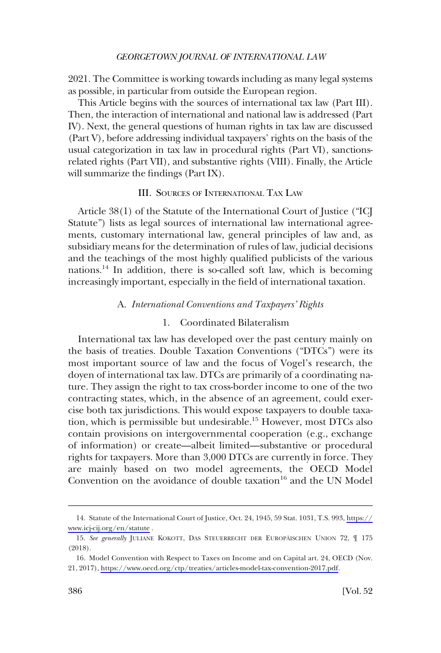<span id="page-5-0"></span>2021. The Committee is working towards including as many legal systems as possible, in particular from outside the European region.

This Article begins with the sources of international tax law (Part III). Then, the interaction of international and national law is addressed (Part IV). Next, the general questions of human rights in tax law are discussed (Part V), before addressing individual taxpayers' rights on the basis of the usual categorization in tax law in procedural rights (Part VI), sanctionsrelated rights (Part VII), and substantive rights (VIII). Finally, the Article will summarize the findings (Part IX).

# III. SOURCES OF INTERNATIONAL TAX LAW

Article 38(1) of the Statute of the International Court of Justice ("ICJ Statute") lists as legal sources of international law international agreements, customary international law, general principles of law and, as subsidiary means for the determination of rules of law, judicial decisions and the teachings of the most highly qualified publicists of the various nations.14 In addition, there is so-called soft law, which is becoming increasingly important, especially in the field of international taxation.

#### A. *International Conventions and Taxpayers' Rights*

# 1. Coordinated Bilateralism

International tax law has developed over the past century mainly on the basis of treaties. Double Taxation Conventions ("DTCs") were its most important source of law and the focus of Vogel's research, the doyen of international tax law. DTCs are primarily of a coordinating nature. They assign the right to tax cross-border income to one of the two contracting states, which, in the absence of an agreement, could exercise both tax jurisdictions. This would expose taxpayers to double taxation, which is permissible but undesirable.15 However, most DTCs also contain provisions on intergovernmental cooperation (e.g., exchange of information) or create—albeit limited—substantive or procedural rights for taxpayers. More than 3,000 DTCs are currently in force. They are mainly based on two model agreements, the OECD Model Convention on the avoidance of double taxation<sup>16</sup> and the UN Model

Statute of the International Court of Justice, Oct. 24, 1945, 59 Stat. 1031, T.S. 993, [https://](https://www.icj-cij.org/en/statute)  14. [www.icj-cij.org/en/statute](https://www.icj-cij.org/en/statute) .

<sup>15.</sup> See generally JULIANE KOKOTT, DAS STEUERRECHT DER EUROPÄISCHEN UNION 72,  $\P$  175 (2018).

<sup>16.</sup> Model Convention with Respect to Taxes on Income and on Capital art. 24, OECD (Nov. 21, 2017), [https://www.oecd.org/ctp/treaties/articles-model-tax-convention-2017.pdf.](https://www.oecd.org/ctp/treaties/articles-model-tax-convention-2017.pdf)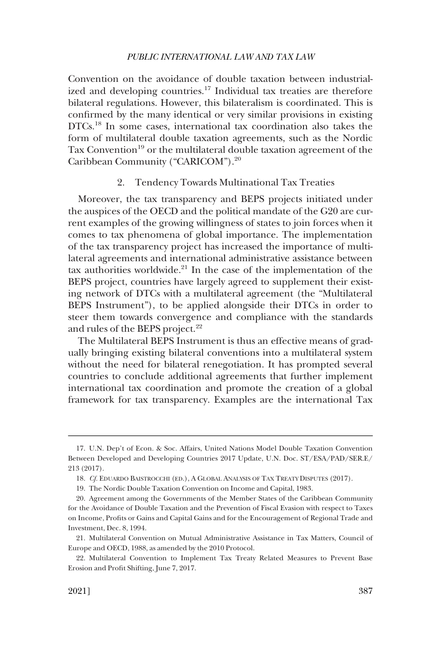<span id="page-6-0"></span>Convention on the avoidance of double taxation between industrialized and developing countries.<sup>17</sup> Individual tax treaties are therefore bilateral regulations. However, this bilateralism is coordinated. This is confirmed by the many identical or very similar provisions in existing DTCs.<sup>18</sup> In some cases, international tax coordination also takes the form of multilateral double taxation agreements, such as the Nordic Tax Convention<sup>19</sup> or the multilateral double taxation agreement of the Caribbean Community ("CARICOM").<sup>20</sup>

# 2. Tendency Towards Multinational Tax Treaties

Moreover, the tax transparency and BEPS projects initiated under the auspices of the OECD and the political mandate of the G20 are current examples of the growing willingness of states to join forces when it comes to tax phenomena of global importance. The implementation of the tax transparency project has increased the importance of multilateral agreements and international administrative assistance between tax authorities worldwide.<sup>21</sup> In the case of the implementation of the BEPS project, countries have largely agreed to supplement their existing network of DTCs with a multilateral agreement (the "Multilateral BEPS Instrument"), to be applied alongside their DTCs in order to steer them towards convergence and compliance with the standards and rules of the BEPS project.<sup>22</sup>

The Multilateral BEPS Instrument is thus an effective means of gradually bringing existing bilateral conventions into a multilateral system without the need for bilateral renegotiation. It has prompted several countries to conclude additional agreements that further implement international tax coordination and promote the creation of a global framework for tax transparency. Examples are the international Tax

<sup>17.</sup> U.N. Dep't of Econ. & Soc. Affairs, United Nations Model Double Taxation Convention Between Developed and Developing Countries 2017 Update, U.N. Doc. ST/ESA/PAD/SER.E/ 213 (2017).

<sup>18.</sup> *Cf.* EDUARDO BAISTROCCHI (ED.), A GLOBAL ANALYSIS OF TAX TREATY DISPUTES (2017).

<sup>19.</sup> The Nordic Double Taxation Convention on Income and Capital, 1983.

<sup>20.</sup> Agreement among the Governments of the Member States of the Caribbean Community for the Avoidance of Double Taxation and the Prevention of Fiscal Evasion with respect to Taxes on Income, Profits or Gains and Capital Gains and for the Encouragement of Regional Trade and Investment, Dec. 8, 1994.

<sup>21.</sup> Multilateral Convention on Mutual Administrative Assistance in Tax Matters, Council of Europe and OECD, 1988, as amended by the 2010 Protocol.

<sup>22.</sup> Multilateral Convention to Implement Tax Treaty Related Measures to Prevent Base Erosion and Profit Shifting, June 7, 2017.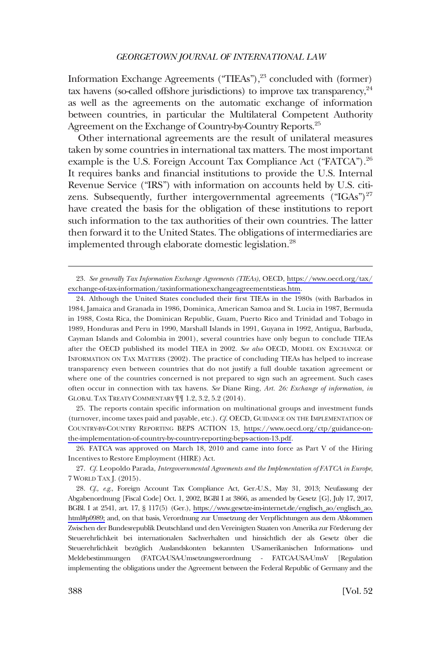Information Exchange Agreements ("TIEAs"),<sup>23</sup> concluded with (former) tax havens (so-called offshore jurisdictions) to improve tax transparency,  $24$ as well as the agreements on the automatic exchange of information between countries, in particular the Multilateral Competent Authority Agreement on the Exchange of Country-by-Country Reports.<sup>25</sup>

Other international agreements are the result of unilateral measures taken by some countries in international tax matters. The most important example is the U.S. Foreign Account Tax Compliance Act ("FATCA").<sup>26</sup> It requires banks and financial institutions to provide the U.S. Internal Revenue Service ("IRS") with information on accounts held by U.S. citizens. Subsequently, further intergovernmental agreements  $("IGAs")^{27}$ have created the basis for the obligation of these institutions to report such information to the tax authorities of their own countries. The latter then forward it to the United States. The obligations of intermediaries are implemented through elaborate domestic legislation.<sup>28</sup>

24. Although the United States concluded their first TIEAs in the 1980s (with Barbados in 1984, Jamaica and Granada in 1986, Dominica, American Samoa and St. Lucia in 1987, Bermuda in 1988, Costa Rica, the Dominican Republic, Guam, Puerto Rico and Trinidad and Tobago in 1989, Honduras and Peru in 1990, Marshall Islands in 1991, Guyana in 1992, Antigua, Barbuda, Cayman Islands and Colombia in 2001), several countries have only begun to conclude TIEAs after the OECD published its model TIEA in 2002. *See also* OECD, MODEL ON EXCHANGE OF INFORMATION ON TAX MATTERS (2002). The practice of concluding TIEAs has helped to increase transparency even between countries that do not justify a full double taxation agreement or where one of the countries concerned is not prepared to sign such an agreement. Such cases often occur in connection with tax havens. *See* Diane Ring, *Art. 26: Exchange of information*, *in*  GLOBAL TAX TREATY COMMENTARY ¶¶ 1.2, 3.2, 5.2 (2014).

25. The reports contain specific information on multinational groups and investment funds (turnover, income taxes paid and payable, etc.). *Cf.* OECD, GUIDANCE ON THE IMPLEMENTATION OF COUNTRY-BY-COUNTRY REPORTING BEPS ACTION 13, [https://www.oecd.org/ctp/guidance-on](https://www.oecd.org/ctp/guidance-on-the-implementation-of-country-by-country-reporting-beps-action-13.pdf)[the-implementation-of-country-by-country-reporting-beps-action-13.pdf](https://www.oecd.org/ctp/guidance-on-the-implementation-of-country-by-country-reporting-beps-action-13.pdf).

26. FATCA was approved on March 18, 2010 and came into force as Part V of the Hiring Incentives to Restore Employment (HIRE) Act.

27. *Cf.* Leopoldo Parada, *Intergovernmental Agreements and the Implementation of FATCA in Europe*, 7 WORLD TAX J. (2015).

28. Cf., e.g., Foreign Account Tax Compliance Act, Ger.-U.S., May 31, 2013; Neufassung der Abgabenordnung [Fiscal Code] Oct. 1, 2002, BGBl I at 3866, as amended by Gesetz [G], July 17, 2017, BGBl. I at 2541, art. 17, § 117(5) (Ger.), [https://www.gesetze-im-internet.de/englisch\\_ao/englisch\\_ao.](https://www.gesetze-im-internet.de/englisch_ao/englisch_ao.html#p0989)  [html#p0989;](https://www.gesetze-im-internet.de/englisch_ao/englisch_ao.html#p0989) and, on that basis, Verordnung zur Umsetzung der Verpflichtungen aus dem Abkommen Zwischen der Bundesrepublik Deutschland und den Vereinigten Staaten von Amerika zur Förderung der Steuerehrlichkeit bei internationalen Sachverhalten und hinsichtlich der als Gesetz über die Steuerehrlichkeit bezüglich Auslandskonten bekannten US-amerikanischen Informations- und Meldebestimmungen (FATCA-USA-Umsetzungsverordnung - FATCA-USA-UmsV [Regulation implementing the obligations under the Agreement between the Federal Republic of Germany and the

*See generally Tax Information Exchange Agreements (TIEAs)*, OECD, [https://www.oecd.org/tax/](https://www.oecd.org/tax/exchange-of-tax-information/taxinformationexchangeagreementstieas.htm)  23. [exchange-of-tax-information/taxinformationexchangeagreementstieas.htm](https://www.oecd.org/tax/exchange-of-tax-information/taxinformationexchangeagreementstieas.htm).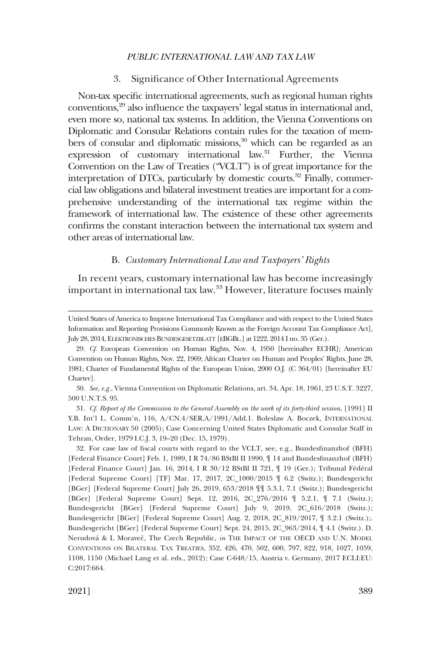### 3. Significance of Other International Agreements

<span id="page-8-0"></span>Non-tax specific international agreements, such as regional human rights conventions,29 also influence the taxpayers' legal status in international and, even more so, national tax systems. In addition, the Vienna Conventions on Diplomatic and Consular Relations contain rules for the taxation of members of consular and diplomatic missions,<sup>30</sup> which can be regarded as an expression of customary international law.<sup>31</sup> Further, the Vienna Convention on the Law of Treaties ("VCLT") is of great importance for the interpretation of DTCs, particularly by domestic courts.<sup>32</sup> Finally, commercial law obligations and bilateral investment treaties are important for a comprehensive understanding of the international tax regime within the framework of international law. The existence of these other agreements confirms the constant interaction between the international tax system and other areas of international law.

# B. *Customary International Law and Taxpayers' Rights*

In recent years, customary international law has become increasingly important in international tax law.<sup>33</sup> However, literature focuses mainly

United States of America to Improve International Tax Compliance and with respect to the United States Information and Reporting Provisions Commonly Known as the Foreign Account Tax Compliance Act], July 28, 2014, ELEKTRONISCHES BUNDESGESETZBLATT [EBGBL.] at 1222, 2014 I no. 35 (Ger.).

<sup>29.</sup> *Cf.* European Convention on Human Rights, Nov. 4, 1950 [hereinafter ECHR]; American Convention on Human Rights, Nov. 22, 1969; African Charter on Human and Peoples' Rights, June 28, 1981; Charter of Fundamental Rights of the European Union, 2000 O.J. (C 364/01) [hereinafter EU Charter].

<sup>30.</sup> *See, e.g.*, Vienna Convention on Diplomatic Relations, art. 34, Apr. 18, 1961, 23 U.S.T. 3227, 500 U.N.T.S. 95.

<sup>31.</sup> *Cf. Report of the Commission to the General Assembly on the work of its forty-third session*, [1991] II Y.B. Int'l L. Comm'n, 116, A/CN.4/SER.A/1991/Add.1. Boleslaw A. Boczek, INTERNATIONAL LAW: A DICTIONARY 50 (2005); Case Concerning United States Diplomatic and Consular Staff in Tehran, Order, 1979 I.C.J. 3, 19–20 (Dec. 15, 1979).

<sup>32.</sup> For case law of fiscal courts with regard to the VCLT, see, e.g., Bundesfinanzhof (BFH) [Federal Finance Court] Feb. 1, 1989, I R 74/86 BStBl II 1990, ¶ 14 and Bundesfinanzhof (BFH) [Federal Finance Court] Jan. 16, 2014, I R 30/12 BStBl II 721,  $\P$  19 (Ger.); Tribunal Fédéral [Federal Supreme Court] [TF] Mar. 17, 2017, 2C\_1000/2015 ¶ 6.2 (Switz.); Bundesgericht [BGer] [Federal Supreme Court] July 26, 2019, 653/2018 ¶¶ 5.3.1, 7.1 (Switz.); Bundesgericht [BGer] [Federal Supreme Court] Sept. 12, 2016, 2C\_276/2016 ¶ 5.2.1, ¶ 7.1 (Switz.); Bundesgericht [BGer] [Federal Supreme Court] July 9, 2019, 2C\_616/2018 (Switz.); Bundesgericht [BGer] [Federal Supreme Court] Aug. 2, 2018, 2C\_819/2017, ¶ 3.2.1 (Switz.);. Bundesgericht [BGer] [Federal Supreme Court] Sept. 24, 2015, 2C\_963/2014, ¶ 4.1 (Switz.). D. Nerudová & L Moraveč, The Czech Republic, *in* THE IMPACT OF THE OECD AND U.N. MODEL CONVENTIONS ON BILATERAL TAX TREATIES, 352, 426, 470, 502, 600, 797, 822, 918, 1027, 1059, 1108, 1150 (Michael Lang et al. eds., 2012); Case C-648/15, Austria v. Germany, 2017 ECLI:EU: C:2017:664.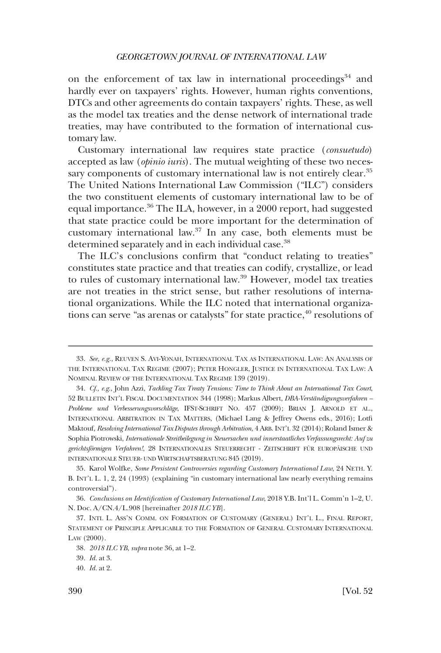on the enforcement of tax law in international proceedings $34$  and hardly ever on taxpayers' rights. However, human rights conventions, DTCs and other agreements do contain taxpayers' rights. These, as well as the model tax treaties and the dense network of international trade treaties, may have contributed to the formation of international customary law.

Customary international law requires state practice (*consuetudo*) accepted as law (*opinio iuris*). The mutual weighting of these two necessary components of customary international law is not entirely clear.<sup>35</sup> The United Nations International Law Commission ("ILC") considers the two constituent elements of customary international law to be of equal importance.36 The ILA, however, in a 2000 report, had suggested that state practice could be more important for the determination of customary international law.37 In any case, both elements must be determined separately and in each individual case.<sup>38</sup>

The ILC's conclusions confirm that "conduct relating to treaties" constitutes state practice and that treaties can codify, crystallize, or lead to rules of customary international law.39 However, model tax treaties are not treaties in the strict sense, but rather resolutions of international organizations. While the ILC noted that international organizations can serve "as arenas or catalysts" for state practice, $40$  resolutions of

<sup>33.</sup> *See, e.g.*, REUVEN S. AVI-YONAH, INTERNATIONAL TAX AS INTERNATIONAL LAW: AN ANALYSIS OF THE INTERNATIONAL TAX REGIME (2007); PETER HONGLER, JUSTICE IN INTERNATIONAL TAX LAW: A NOMINAL REVIEW OF THE INTERNATIONAL TAX REGIME 139 (2019).

<sup>34.</sup> *Cf., e.g.*, John Azzi, *Tackling Tax Treaty Tensions: Time to Think About an International Tax Court*, 52 BULLETIN INT'L FISCAL DOCUMENTATION 344 (1998); Markus Albert, *DBA-Verständigungsverfahren* – *Probleme und Verbesserungsvorschla¨ge*, IFST-SCHRIFT NO. 457 (2009); BRIAN J. ARNOLD ET AL., INTERNATIONAL ARBITRATION IN TAX MATTERS, (Michael Lang & Jeffrey Owens eds., 2016); Lotfi Maktouf, *Resolving International Tax Disputes through Arbitration*, 4 ARB. INT'L 32 (2014); Roland Ismer & Sophia Piotrowski, *Internationale Streitbeilegung in Steuersachen und innerstaatliches Verfassungsrecht: Auf zu*  gerichtsförmigen Verfahren!, 28 INTERNATIONALES STEUERRECHT - ZEITSCHRIFT FÜR EUROPÄISCHE UND INTERNATIONALE STEUER- UND WIRTSCHAFTSBERATUNG 845 (2019).

<sup>35.</sup> Karol Wolfke, *Some Persistent Controversies regarding Customary International Law*, 24 NETH. Y. B. INT'L L. 1, 2, 24 (1993) (explaining "in customary international law nearly everything remains controversial").

<sup>36.</sup> *Conclusions on Identification of Customary International Law*, 2018 Y.B. Int'l L. Comm'n 1–2, U. N. Doc. A/CN.4/L.908 [hereinafter *2018 ILC YB*].

<sup>37.</sup> INTL L. ASS'N COMM. ON FORMATION OF CUSTOMARY (GENERAL) INT'L L., FINAL REPORT, STATEMENT OF PRINCIPLE APPLICABLE TO THE FORMATION OF GENERAL CUSTOMARY INTERNATIONAL LAW (2000).

<sup>38.</sup> *2018 ILC YB*, *supra* note 36, at 1–2.

<sup>39.</sup> *Id.* at 3.

<sup>40.</sup> *Id.* at 2.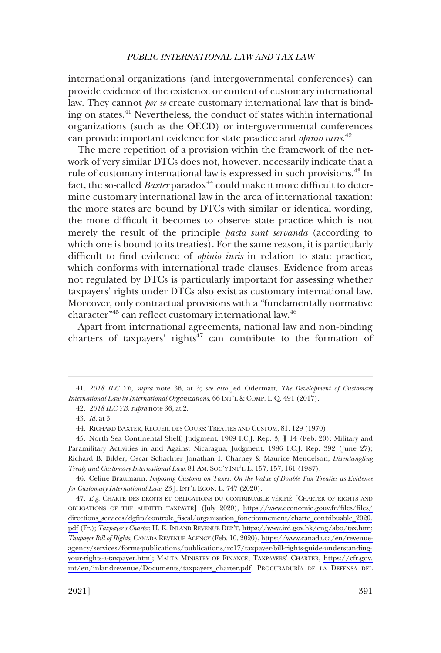international organizations (and intergovernmental conferences) can provide evidence of the existence or content of customary international law. They cannot *per se* create customary international law that is binding on states.41 Nevertheless, the conduct of states within international organizations (such as the OECD) or intergovernmental conferences can provide important evidence for state practice and *opinio iuris*. 42

The mere repetition of a provision within the framework of the network of very similar DTCs does not, however, necessarily indicate that a rule of customary international law is expressed in such provisions.43 In fact, the so-called *Baxter* paradox<sup>44</sup> could make it more difficult to determine customary international law in the area of international taxation: the more states are bound by DTCs with similar or identical wording, the more difficult it becomes to observe state practice which is not merely the result of the principle *pacta sunt servanda* (according to which one is bound to its treaties). For the same reason, it is particularly difficult to find evidence of *opinio iuris* in relation to state practice, which conforms with international trade clauses. Evidence from areas not regulated by DTCs is particularly important for assessing whether taxpayers' rights under DTCs also exist as customary international law. Moreover, only contractual provisions with a "fundamentally normative character"45 can reflect customary international law.46

Apart from international agreements, national law and non-binding charters of taxpayers' rights $47$  can contribute to the formation of

<sup>41.</sup> *2018 ILC YB*, *supra* note 36, at 3; *see also* Jed Odermatt, *The Development of Customary International Law by International Organizations*, 66 INT'L & COMP. L.Q. 491 (2017).

<sup>42.</sup> *2018 ILC YB*, *supra* note 36, at 2.

<sup>43.</sup> *Id.* at 3.

<sup>44.</sup> RICHARD BAXTER, RECUEIL DES COURS: TREATIES AND CUSTOM, 81, 129 (1970).

<sup>45.</sup> North Sea Continental Shelf, Judgment, 1969 I.C.J. Rep. 3, ¶ 14 (Feb. 20); Military and Paramilitary Activities in and Against Nicaragua, Judgment, 1986 I.C.J. Rep. 392 (June 27); Richard B. Bilder, Oscar Schachter Jonathan I. Charney & Maurice Mendelson, *Disentangling Treaty and Customary International Law*, 81 AM. SOC'Y INT'L L. 157, 157, 161 (1987).

<sup>46.</sup> Celine Braumann, *Imposing Customs on Taxes: On the Value of Double Tax Treaties as Evidence for Customary International Law*, 23 J. INT'L ECON. L. 747 (2020).

<sup>47.</sup> E.g. CHARTE DES DROITS ET OBLIGATIONS DU CONTRIBUABLE VÉRIFIÉ [CHARTER OF RIGHTS AND OBLIGATIONS OF THE AUDITED TAXPAYER] (July 2020), [https://www.economie.gouv.fr/files/files/](https://www.economie.gouv.fr/files/files/directions_services/dgfip/controle_fiscal/organisation_fonctionnement/charte_contribuable_2020.pdf)  [directions\\_services/dgfip/controle\\_fiscal/organisation\\_fonctionnement/charte\\_contribuable\\_2020.](https://www.economie.gouv.fr/files/files/directions_services/dgfip/controle_fiscal/organisation_fonctionnement/charte_contribuable_2020.pdf) [pdf](https://www.economie.gouv.fr/files/files/directions_services/dgfip/controle_fiscal/organisation_fonctionnement/charte_contribuable_2020.pdf) (Fr.); *Taxpayer's Charter*, H. K. INLAND REVENUE DEP'T, [https://www.ird.gov.hk/eng/abo/tax.htm;](https://www.ird.gov.hk/eng/abo/tax.htm) *Taxpayer Bill of Rights*, CANADA REVENUE AGENCY (Feb. 10, 2020), [https://www.canada.ca/en/revenue](https://www.canada.ca/en/revenue-agency/services/forms-publications/publications/rc17/taxpayer-bill-rights-guide-understanding-your-rights-a-taxpayer.html)[agency/services/forms-publications/publications/rc17/taxpayer-bill-rights-guide-understanding](https://www.canada.ca/en/revenue-agency/services/forms-publications/publications/rc17/taxpayer-bill-rights-guide-understanding-your-rights-a-taxpayer.html)[your-rights-a-taxpayer.html;](https://www.canada.ca/en/revenue-agency/services/forms-publications/publications/rc17/taxpayer-bill-rights-guide-understanding-your-rights-a-taxpayer.html) MALTA MINISTRY OF FINANCE, TAXPAYERS' CHARTER, [https://cfr.gov.](https://cfr.gov.mt/en/inlandrevenue/Documents/taxpayers_charter.pdf)  [mt/en/inlandrevenue/Documents/taxpayers\\_charter.pdf;](https://cfr.gov.mt/en/inlandrevenue/Documents/taxpayers_charter.pdf) PROCURADURI´A DE LA DEFENSA DEL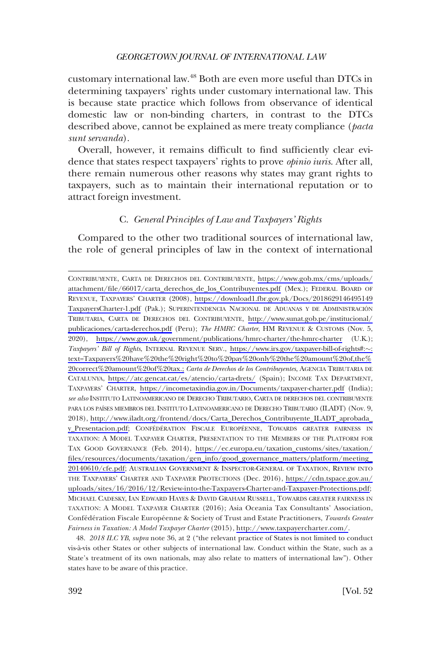<span id="page-11-0"></span>customary international law.48 Both are even more useful than DTCs in determining taxpayers' rights under customary international law. This is because state practice which follows from observance of identical domestic law or non-binding charters, in contrast to the DTCs described above, cannot be explained as mere treaty compliance (*pacta sunt servanda*).

Overall, however, it remains difficult to find sufficiently clear evidence that states respect taxpayers' rights to prove *opinio iuris*. After all, there remain numerous other reasons why states may grant rights to taxpayers, such as to maintain their international reputation or to attract foreign investment.

# C. *General Principles of Law and Taxpayers' Rights*

Compared to the other two traditional sources of international law, the role of general principles of law in the context of international

CONTRIBUYENTE, CARTA DE DERECHOS DEL CONTRIBUYENTE, [https://www.gob.mx/cms/uploads/](https://www.gob.mx/cms/uploads/attachment/file/66017/carta_derechos_de_los_Contribuyentes.pdf)  [attachment/file/66017/carta\\_derechos\\_de\\_los\\_Contribuyentes.pdf](https://www.gob.mx/cms/uploads/attachment/file/66017/carta_derechos_de_los_Contribuyentes.pdf) (Mex.); FEDERAL BOARD OF REVENUE, TAXPAYERS' CHARTER (2008), [https://download1.fbr.gov.pk/Docs/2018629146495149](https://download1.fbr.gov.pk/Docs/2018629146495149TaxpayersCharter-1.pdf) [TaxpayersCharter-1.pdf](https://download1.fbr.gov.pk/Docs/2018629146495149TaxpayersCharter-1.pdf) (Pak.); SUPERINTENDENCIA NACIONAL DE ADUANAS Y DE ADMINISTRACIÓN TRIBUTARIA, CARTA DE DERECHOS DEL CONTRIBUYENTE, [http://www.sunat.gob.pe/institucional/](http://www.sunat.gob.pe/institucional/publicaciones/carta-derechos.pdf)  [publicaciones/carta-derechos.pdf](http://www.sunat.gob.pe/institucional/publicaciones/carta-derechos.pdf) (Peru); *The HMRC Charter*, HM REVENUE & CUSTOMS (Nov. 5, 2020), <https://www.gov.uk/government/publications/hmrc-charter/the-hmrc-charter> (U.K.); *Taxpayers' Bill of Rights*, INTERNAL REVENUE SERV., [https://www.irs.gov/taxpayer-bill-of-rights#:](https://www.irs.gov/taxpayer-bill-of-rights#:~:text=Taxpayers&hx0025;20have&hx0025;20the&hx0025;20right&hx0025;20to&hx0025;20pay&hx0025;20only&hx0025;20the&hx0025;20amount&hx0025;20of,the&hx0025;20correct&hx0025;20amount&hx0025;20of&hx0025;20tax.;)�: [text=Taxpayers%20have%20the%20right%20to%20pay%20only%20the%20amount%20of,the%](https://www.irs.gov/taxpayer-bill-of-rights#:~:text=Taxpayers&hx0025;20have&hx0025;20the&hx0025;20right&hx0025;20to&hx0025;20pay&hx0025;20only&hx0025;20the&hx0025;20amount&hx0025;20of,the&hx0025;20correct&hx0025;20amount&hx0025;20of&hx0025;20tax.;)  [20correct%20amount%20of%20tax.;](https://www.irs.gov/taxpayer-bill-of-rights#:~:text=Taxpayers&hx0025;20have&hx0025;20the&hx0025;20right&hx0025;20to&hx0025;20pay&hx0025;20only&hx0025;20the&hx0025;20amount&hx0025;20of,the&hx0025;20correct&hx0025;20amount&hx0025;20of&hx0025;20tax.;) *Carta de Derechos de los Contribuyentes*, AGENCIA TRIBUTARIA DE CATALUNYA, <https://atc.gencat.cat/es/atencio/carta-drets/>(Spain); INCOME TAX DEPARTMENT, TAXPAYERS' CHARTER, <https://incometaxindia.gov.in/Documents/taxpayer-charter.pdf>(India); *see also* INSTITUTO LATINOAMERICANO DE DERECHO TRIBUTARIO, CARTA DE DERECHOS DEL CONTRIBUYENTE PARA LOS PAÍSES MIEMBROS DEL INSTITUTO LATINOAMERICANO DE DERECHO TRIBUTARIO (ILADT) (Nov. 9, 2018), [http://www.iladt.org/frontend/docs/Carta\\_Derechos\\_Contribuyente\\_ILADT\\_aprobada\\_](http://www.iladt.org/frontend/docs/Carta_Derechos_Contribuyente_ILADT_aprobada_y_Presentacion.pdf) [y\\_Presentacion.pdf](http://www.iladt.org/frontend/docs/Carta_Derechos_Contribuyente_ILADT_aprobada_y_Presentacion.pdf); CONFÉDÉRATION FISCALE EUROPÉENNE, TOWARDS GREATER FAIRNESS IN TAXATION: A MODEL TAXPAYER CHARTER, PRESENTATION TO THE MEMBERS OF THE PLATFORM FOR TAX GOOD GOVERNANCE (Feb. 2014), [https://ec.europa.eu/taxation\\_customs/sites/taxation/](https://ec.europa.eu/taxation_customs/sites/taxation/files/resources/documents/taxation/gen_info/good_governance_matters/platform/meeting_20140610/cfe.pdf)  [files/resources/documents/taxation/gen\\_info/good\\_governance\\_matters/platform/meeting\\_](https://ec.europa.eu/taxation_customs/sites/taxation/files/resources/documents/taxation/gen_info/good_governance_matters/platform/meeting_20140610/cfe.pdf)  [20140610/cfe.pdf;](https://ec.europa.eu/taxation_customs/sites/taxation/files/resources/documents/taxation/gen_info/good_governance_matters/platform/meeting_20140610/cfe.pdf) AUSTRALIAN GOVERNMENT & INSPECTOR-GENERAL OF TAXATION, REVIEW INTO THE TAXPAYERS' CHARTER AND TAXPAYER PROTECTIONS (Dec. 2016), [https://cdn.tspace.gov.au/](https://cdn.tspace.gov.au/uploads/sites/16/2016/12/Review-into-the-Taxpayers-Charter-and-Taxpayer-Protections.pdf) [uploads/sites/16/2016/12/Review-into-the-Taxpayers-Charter-and-Taxpayer-Protections.pdf;](https://cdn.tspace.gov.au/uploads/sites/16/2016/12/Review-into-the-Taxpayers-Charter-and-Taxpayer-Protections.pdf) MICHAEL CADESKY, IAN EDWARD HAYES & DAVID GRAHAM RUSSELL, TOWARDS GREATER FAIRNESS IN TAXATION: A MODEL TAXPAYER CHARTER (2016); Asia Oceania Tax Consultants' Association, Confédération Fiscale Européenne & Society of Trust and Estate Practitioners, *Towards Greater Fairness in Taxation: A Model Taxpayer Charter* (2015), [http://www.taxpayercharter.com/.](http://www.taxpayercharter.com/)

48. *2018 ILC YB*, *supra* note 36, at 2 ("the relevant practice of States is not limited to conduct vis-a`-vis other States or other subjects of international law. Conduct within the State, such as a State's treatment of its own nationals, may also relate to matters of international law"). Other states have to be aware of this practice.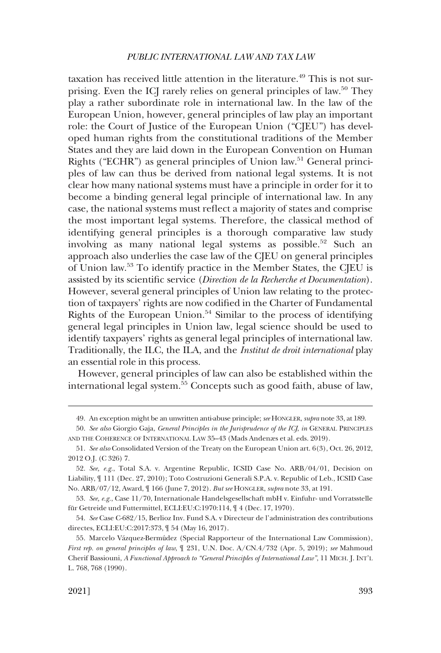taxation has received little attention in the literature.<sup>49</sup> This is not surprising. Even the ICJ rarely relies on general principles of law.<sup>50</sup> They play a rather subordinate role in international law. In the law of the European Union, however, general principles of law play an important role: the Court of Justice of the European Union ("CJEU") has developed human rights from the constitutional traditions of the Member States and they are laid down in the European Convention on Human Rights ("ECHR") as general principles of Union law.<sup>51</sup> General principles of law can thus be derived from national legal systems. It is not clear how many national systems must have a principle in order for it to become a binding general legal principle of international law. In any case, the national systems must reflect a majority of states and comprise the most important legal systems. Therefore, the classical method of identifying general principles is a thorough comparative law study involving as many national legal systems as possible.<sup>52</sup> Such an approach also underlies the case law of the CJEU on general principles of Union law.53 To identify practice in the Member States, the CJEU is assisted by its scientific service (*Direction de la Recherche et Documentation*). However, several general principles of Union law relating to the protection of taxpayers' rights are now codified in the Charter of Fundamental Rights of the European Union.<sup>54</sup> Similar to the process of identifying general legal principles in Union law, legal science should be used to identify taxpayers' rights as general legal principles of international law. Traditionally, the ILC, the ILA, and the *Institut de droit international* play an essential role in this process.

However, general principles of law can also be established within the international legal system.55 Concepts such as good faith, abuse of law,

<sup>49.</sup> An exception might be an unwritten anti-abuse principle; *see* HONGLER, *supra* note 33, at 189.

<sup>50.</sup> *See also* Giorgio Gaja, *General Principles in the Jurisprudence of the ICJ*, *in* GENERAL PRINCIPLES AND THE COHERENCE OF INTERNATIONAL LAW 35–43 (Mads Andenæs et al. eds. 2019).

<sup>51.</sup> *See also* Consolidated Version of the Treaty on the European Union art. 6(3), Oct. 26, 2012, 2012 O.J. (C 326) 7.

<sup>52.</sup> *See, e.g.*, Total S.A. v. Argentine Republic, ICSID Case No. ARB/04/01, Decision on Liability, ¶ 111 (Dec. 27, 2010); Toto Costruzioni Generali S.P.A. v. Republic of Leb., ICSID Case No. ARB/07/12, Award, ¶ 166 (June 7, 2012). *But see* HONGLER, *supra* note 33, at 191.

<sup>53.</sup> *See, e.g.*, Case 11/70, Internationale Handelsgesellschaft mbH v. Einfuhr- und Vorratsstelle für Getreide und Futtermittel, ECLI:EU:C:1970:114, ¶ 4 (Dec. 17, 1970).

<sup>54.</sup> *See* Case C-682/15, Berlioz Inv. Fund S.A. v Directeur de l'administration des contributions directes, ECLI:EU:C:2017:373, ¶ 54 (May 16, 2017).

<sup>55.</sup> Marcelo Vázquez-Bermúdez (Special Rapporteur of the International Law Commission), *First rep. on general principles of law*, ¶ 231, U.N. Doc. A/CN.4/732 (Apr. 5, 2019); *see* Mahmoud Cherif Bassiouni, *A Functional Approach to "General Principles of International Law"*, 11 MICH. J. INT'L L. 768, 768 (1990).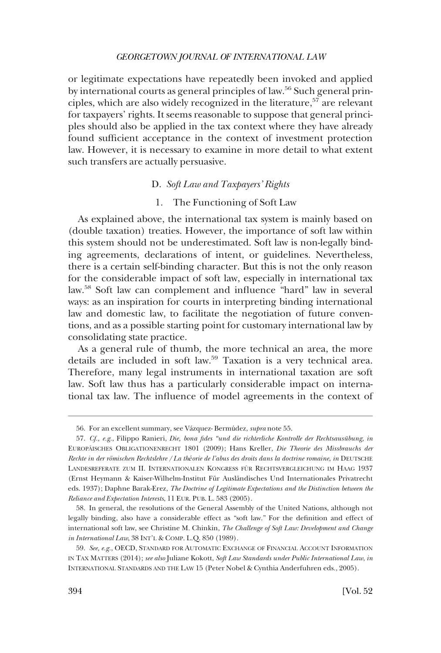<span id="page-13-0"></span>or legitimate expectations have repeatedly been invoked and applied by international courts as general principles of law.<sup>56</sup> Such general principles, which are also widely recognized in the literature,<sup>57</sup> are relevant for taxpayers' rights. It seems reasonable to suppose that general principles should also be applied in the tax context where they have already found sufficient acceptance in the context of investment protection law. However, it is necessary to examine in more detail to what extent such transfers are actually persuasive.

# D. *Soft Law and Taxpayers' Rights*

### 1. The Functioning of Soft Law

As explained above, the international tax system is mainly based on (double taxation) treaties. However, the importance of soft law within this system should not be underestimated. Soft law is non-legally binding agreements, declarations of intent, or guidelines. Nevertheless, there is a certain self-binding character. But this is not the only reason for the considerable impact of soft law, especially in international tax law.58 Soft law can complement and influence "hard" law in several ways: as an inspiration for courts in interpreting binding international law and domestic law, to facilitate the negotiation of future conventions, and as a possible starting point for customary international law by consolidating state practice.

As a general rule of thumb, the more technical an area, the more details are included in soft law.59 Taxation is a very technical area. Therefore, many legal instruments in international taxation are soft law. Soft law thus has a particularly considerable impact on international tax law. The influence of model agreements in the context of

<sup>56.</sup> For an excellent summary, see Va´zquez- Bermúdez, *supra* note 55.

<sup>57.</sup> Cf., e.g., Filippo Ranieri, *Die, bona fides "und die richterliche Kontrolle der Rechtsausübung, in* EUROPÄISCHES OBLIGATIONENRECHT 1801 (2009); Hans Kreller, *Die Theorie des Missbrauchs der Rechte in der ro¨mischen Rechtslehre* /*La théorie de l'abus des droits dans la doctrine romaine*, *in* DEUTSCHE LANDESREFERATE ZUM II. INTERNATIONALEN KONGRESS FÜR RECHTSVERGLEICHUNG IM HAAG 1937 (Ernst Heymann & Kaiser-Wilhelm-Institut Für Ausländisches Und Internationales Privatrecht eds. 1937); Daphne Barak-Erez, *The Doctrine of Legitimate Expectations and the Distinction between the Reliance and Expectation Interests*, 11 EUR. PUB. L. 583 (2005).

<sup>58.</sup> In general, the resolutions of the General Assembly of the United Nations, although not legally binding, also have a considerable effect as "soft law." For the definition and effect of international soft law, see Christine M. Chinkin, *The Challenge of Soft Law: Development and Change in International Law*, 38 INT'L & COMP. L.Q. 850 (1989).

<sup>59.</sup> *See, e.g.*, OECD, STANDARD FOR AUTOMATIC EXCHANGE OF FINANCIAL ACCOUNT INFORMATION IN TAX MATTERS (2014); *see also* Juliane Kokott, *Soft Law Standards under Public International Law*, *in*  INTERNATIONAL STANDARDS AND THE LAW 15 (Peter Nobel & Cynthia Anderfuhren eds., 2005).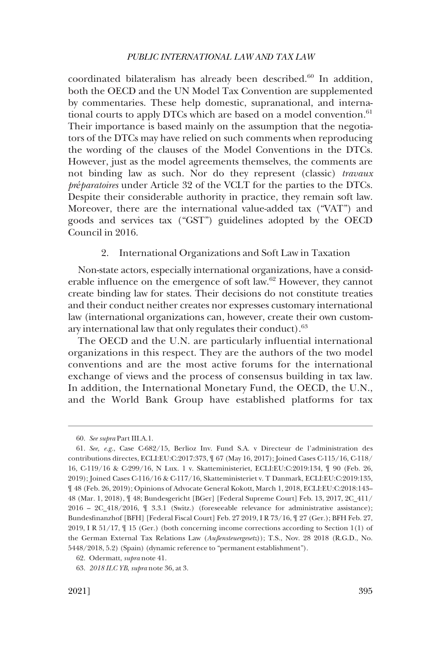<span id="page-14-0"></span>coordinated bilateralism has already been described.<sup>60</sup> In addition, both the OECD and the UN Model Tax Convention are supplemented by commentaries. These help domestic, supranational, and international courts to apply DTCs which are based on a model convention. $61$ Their importance is based mainly on the assumption that the negotiators of the DTCs may have relied on such comments when reproducing the wording of the clauses of the Model Conventions in the DTCs. However, just as the model agreements themselves, the comments are not binding law as such. Nor do they represent (classic) *travaux préparatoires* under Article 32 of the VCLT for the parties to the DTCs. Despite their considerable authority in practice, they remain soft law. Moreover, there are the international value-added tax ("VAT") and goods and services tax ("GST") guidelines adopted by the OECD Council in 2016.

#### 2. International Organizations and Soft Law in Taxation

Non-state actors, especially international organizations, have a considerable influence on the emergence of soft law.62 However, they cannot create binding law for states. Their decisions do not constitute treaties and their conduct neither creates nor expresses customary international law (international organizations can, however, create their own customary international law that only regulates their conduct).<sup>63</sup>

The OECD and the U.N. are particularly influential international organizations in this respect. They are the authors of the two model conventions and are the most active forums for the international exchange of views and the process of consensus building in tax law. In addition, the International Monetary Fund, the OECD, the U.N., and the World Bank Group have established platforms for tax

<sup>60.</sup> *See supra* Part III.A.1.

<sup>61.</sup> *See, e.g.*, Case C-682/15, Berlioz Inv. Fund S.A. v Directeur de l'administration des contributions directes, ECLI:EU:C:2017:373, ¶ 67 (May 16, 2017); Joined Cases C-115/16, C-118/ 16, C-119/16 & C-299/16, N Lux. 1 v. Skatteministeriet, ECLI:EU:C:2019:134, ¶ 90 (Feb. 26, 2019); Joined Cases C-116/16 & C-117/16, Skatteministeriet v. T Danmark, ECLI:EU:C:2019:135, ¶ 48 (Feb. 26, 2019); Opinions of Advocate General Kokott, March 1, 2018, ECLI:EU:C:2018:143– 48 (Mar. 1, 2018), ¶ 48; Bundesgericht [BGer] [Federal Supreme Court] Feb. 13, 2017, 2C\_411/ 2016 – 2C\_418/2016, ¶ 3.3.1 (Switz.) (foreseeable relevance for administrative assistance); Bundesfinanzhof [BFH] [Federal Fiscal Court] Feb. 27 2019, I R 73/16, ¶ 27 (Ger.); BFH Feb. 27, 2019, I R 51/17, ¶ 15 (Ger.) (both concerning income corrections according to Section 1(1) of the German External Tax Relations Law (*Außensteuergesetz*)); T.S., Nov. 28 2018 (R.G.D., No. 5448/2018, 5.2) (Spain) (dynamic reference to "permanent establishment").

<sup>62.</sup> Odermatt, *supra* note 41.

<sup>63.</sup> *2018 ILC YB*, *supra* note 36, at 3.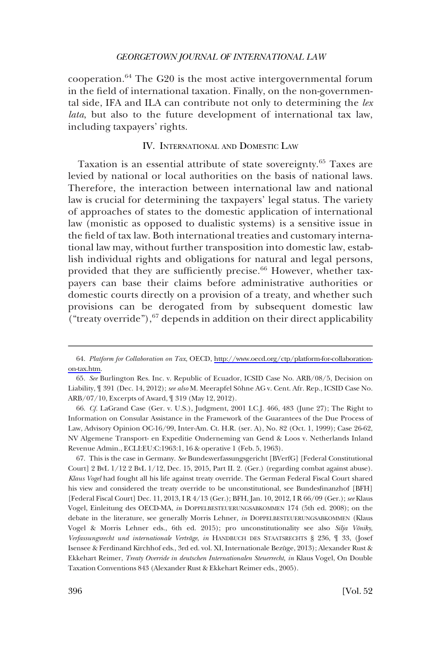<span id="page-15-0"></span>cooperation.<sup>64</sup> The G20 is the most active intergovernmental forum in the field of international taxation. Finally, on the non-governmental side, IFA and ILA can contribute not only to determining the *lex lata*, but also to the future development of international tax law, including taxpayers' rights.

# IV. INTERNATIONAL AND DOMESTIC LAW

Taxation is an essential attribute of state sovereignty.65 Taxes are levied by national or local authorities on the basis of national laws. Therefore, the interaction between international law and national law is crucial for determining the taxpayers' legal status. The variety of approaches of states to the domestic application of international law (monistic as opposed to dualistic systems) is a sensitive issue in the field of tax law. Both international treaties and customary international law may, without further transposition into domestic law, establish individual rights and obligations for natural and legal persons, provided that they are sufficiently precise.<sup>66</sup> However, whether taxpayers can base their claims before administrative authorities or domestic courts directly on a provision of a treaty, and whether such provisions can be derogated from by subsequent domestic law ("treaty override"), $67$  depends in addition on their direct applicability

66. *Cf.* LaGrand Case (Ger. v. U.S.), Judgment, 2001 I.C.J. 466, 483 (June 27); The Right to Information on Consular Assistance in the Framework of the Guarantees of the Due Process of Law, Advisory Opinion OC-16/99, Inter-Am. Ct. H.R. (ser. A), No. 82 (Oct. 1, 1999); Case 26-62, NV Algemene Transport- en Expeditie Onderneming van Gend & Loos v. Netherlands Inland Revenue Admin., ECLI:EU:C:1963:1, 16 & operative 1 (Feb. 5, 1963).

67. This is the case in Germany. *See* Bundesverfassungsgericht [BVerfG] [Federal Constitutional Court] 2 BvL 1/12 2 BvL 1/12, Dec. 15, 2015, Part II. 2. (Ger.) (regarding combat against abuse). *Klaus Vogel* had fought all his life against treaty override. The German Federal Fiscal Court shared his view and considered the treaty override to be unconstitutional, see Bundesfinanzhof [BFH] [Federal Fiscal Court] Dec. 11, 2013, I R 4/13 (Ger.); BFH, Jan. 10, 2012, I R 66/09 (Ger.); *see* Klaus Vogel, Einleitung des OECD-MA, *in* DOPPELBESTEUERUNGSABKOMMEN 174 (5th ed. 2008); on the debate in the literature, see generally Morris Lehner*, in* DOPPELBESTEUERUNGSABKOMMEN (Klaus Vogel & Morris Lehner eds., 6th ed. 2015); pro unconstitutionality see also *Silja Vöniky*, *Verfassungsrecht und internationale Vertra¨ge*, *in* HANDBUCH DES STAATSRECHTS § 236, ¶ 33, (Josef Isensee & Ferdinand Kirchhof eds., 3rd ed. vol. XI, Internationale Bezüge, 2013); Alexander Rust & Ekkehart Reimer, *Treaty Override in deutschen Internationalen Steuerrecht, in* Klaus Vogel, On Double Taxation Conventions 843 (Alexander Rust & Ekkehart Reimer eds., 2005).

*Platform for Collaboration on Tax*, OECD, [http://www.oecd.org/ctp/platform-for-collaboration-](http://www.oecd.org/ctp/platform-for-collaboration-on-tax.htm)64. [on-tax.htm.](http://www.oecd.org/ctp/platform-for-collaboration-on-tax.htm)

<sup>65.</sup> *See* Burlington Res. Inc. v. Republic of Ecuador, ICSID Case No. ARB/08/5, Decision on Liability,  $\P$  391 (Dec. 14, 2012); *see also* M. Meerapfel Söhne AG v. Cent. Afr. Rep., ICSID Case No. ARB/07/10, Excerpts of Award, ¶ 319 (May 12, 2012).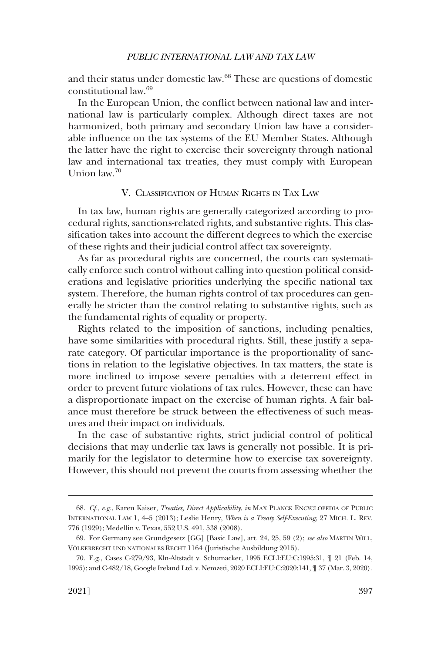<span id="page-16-0"></span>and their status under domestic law.<sup>68</sup> These are questions of domestic constitutional law.69

In the European Union, the conflict between national law and international law is particularly complex. Although direct taxes are not harmonized, both primary and secondary Union law have a considerable influence on the tax systems of the EU Member States. Although the latter have the right to exercise their sovereignty through national law and international tax treaties, they must comply with European Union law.70

# V. CLASSIFICATION OF HUMAN RIGHTS IN TAX LAW

In tax law, human rights are generally categorized according to procedural rights, sanctions-related rights, and substantive rights. This classification takes into account the different degrees to which the exercise of these rights and their judicial control affect tax sovereignty.

As far as procedural rights are concerned, the courts can systematically enforce such control without calling into question political considerations and legislative priorities underlying the specific national tax system. Therefore, the human rights control of tax procedures can generally be stricter than the control relating to substantive rights, such as the fundamental rights of equality or property.

Rights related to the imposition of sanctions, including penalties, have some similarities with procedural rights. Still, these justify a separate category. Of particular importance is the proportionality of sanctions in relation to the legislative objectives. In tax matters, the state is more inclined to impose severe penalties with a deterrent effect in order to prevent future violations of tax rules. However, these can have a disproportionate impact on the exercise of human rights. A fair balance must therefore be struck between the effectiveness of such measures and their impact on individuals.

In the case of substantive rights, strict judicial control of political decisions that may underlie tax laws is generally not possible. It is primarily for the legislator to determine how to exercise tax sovereignty. However, this should not prevent the courts from assessing whether the

<sup>68.</sup> *Cf., e.g.*, Karen Kaiser, *Treaties, Direct Applicability*, *in* MAX PLANCK ENCYCLOPEDIA OF PUBLIC INTERNATIONAL LAW 1, 4–5 (2013); Leslie Henry, *When is a Treaty Self-Executing*, 27 MICH. L. REV. 776 (1929); Medellin v. Texas, 552 U.S. 491, 538 (2008).

<sup>69.</sup> For Germany see Grundgesetz [GG] [Basic Law], art. 24, 25, 59 (2); *see also* MARTIN WILL, VÖLKERRECHT UND NATIONALES RECHT 1164 (Juristische Ausbildung 2015).

<sup>70.</sup> E.g., Cases C-279/93, Kln-Altstadt v. Schumacker, 1995 ECLI:EU:C:1995:31, ¶ 21 (Feb. 14, 1995); and C-482/18, Google Ireland Ltd. v. Nemzeti, 2020 ECLI:EU:C:2020:141, ¶ 37 (Mar. 3, 2020).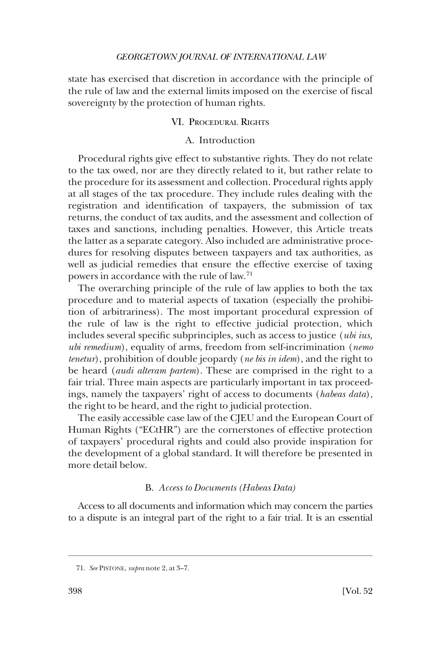<span id="page-17-0"></span>state has exercised that discretion in accordance with the principle of the rule of law and the external limits imposed on the exercise of fiscal sovereignty by the protection of human rights.

### VI. PROCEDURAL RIGHTS

# A. Introduction

Procedural rights give effect to substantive rights. They do not relate to the tax owed, nor are they directly related to it, but rather relate to the procedure for its assessment and collection. Procedural rights apply at all stages of the tax procedure. They include rules dealing with the registration and identification of taxpayers, the submission of tax returns, the conduct of tax audits, and the assessment and collection of taxes and sanctions, including penalties. However, this Article treats the latter as a separate category. Also included are administrative procedures for resolving disputes between taxpayers and tax authorities, as well as judicial remedies that ensure the effective exercise of taxing powers in accordance with the rule of law.71

The overarching principle of the rule of law applies to both the tax procedure and to material aspects of taxation (especially the prohibition of arbitrariness). The most important procedural expression of the rule of law is the right to effective judicial protection, which includes several specific subprinciples, such as access to justice (*ubi ius, ubi remedium*), equality of arms, freedom from self-incrimination (*nemo tenetur*), prohibition of double jeopardy (*ne bis in idem*), and the right to be heard (*audi alteram partem*). These are comprised in the right to a fair trial. Three main aspects are particularly important in tax proceedings, namely the taxpayers' right of access to documents (*habeas data*), the right to be heard, and the right to judicial protection.

The easily accessible case law of the CJEU and the European Court of Human Rights ("ECtHR") are the cornerstones of effective protection of taxpayers' procedural rights and could also provide inspiration for the development of a global standard. It will therefore be presented in more detail below.

# B. *Access to Documents (Habeas Data)*

Access to all documents and information which may concern the parties to a dispute is an integral part of the right to a fair trial. It is an essential

<sup>71.</sup> *See* PISTONE, *supra* note 2, at 3–7.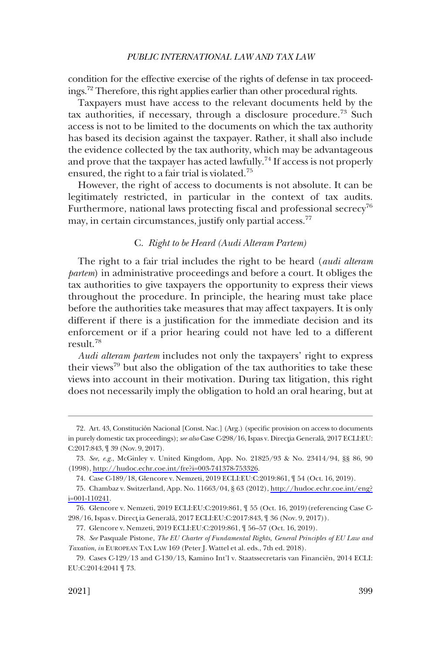<span id="page-18-0"></span>condition for the effective exercise of the rights of defense in tax proceedings.72 Therefore, this right applies earlier than other procedural rights.

Taxpayers must have access to the relevant documents held by the tax authorities, if necessary, through a disclosure procedure.<sup>73</sup> Such access is not to be limited to the documents on which the tax authority has based its decision against the taxpayer. Rather, it shall also include the evidence collected by the tax authority, which may be advantageous and prove that the taxpayer has acted lawfully.<sup>74</sup> If access is not properly ensured, the right to a fair trial is violated.<sup>75</sup>

However, the right of access to documents is not absolute. It can be legitimately restricted, in particular in the context of tax audits. Furthermore, national laws protecting fiscal and professional secrecy<sup>76</sup> may, in certain circumstances, justify only partial access.<sup>77</sup>

# C. *Right to be Heard (Audi Alteram Partem)*

The right to a fair trial includes the right to be heard (*audi alteram partem*) in administrative proceedings and before a court. It obliges the tax authorities to give taxpayers the opportunity to express their views throughout the procedure. In principle, the hearing must take place before the authorities take measures that may affect taxpayers. It is only different if there is a justification for the immediate decision and its enforcement or if a prior hearing could not have led to a different result.78

*Audi alteram partem* includes not only the taxpayers' right to express their views<sup>79</sup> but also the obligation of the tax authorities to take these views into account in their motivation. During tax litigation, this right does not necessarily imply the obligation to hold an oral hearing, but at

<sup>72.</sup> Art. 43, Constitución Nacional [Const. Nac.] (Arg.) (specific provision on access to documents in purely domestic tax proceedings); see also Case C-298/16, Ispas v. Directia Generală, 2017 ECLI:EU: C:2017:843, ¶ 39 (Nov. 9, 2017).

*See, e.g.*, McGinley v. United Kingdom, App. No. 21825/93 & No. 23414/94, §§ 86, 90 73. (1998),<http://hudoc.echr.coe.int/fre?i=003-741378-753326>.

<sup>74.</sup> Case C-189/18, Glencore v. Nemzeti, 2019 ECLI:EU:C:2019:861, ¶ 54 (Oct. 16, 2019).

Chambaz v. Switzerland, App. No. 11663/04, § 63 (2012), [http://hudoc.echr.coe.int/eng?](http://hudoc.echr.coe.int/eng?i=001-110241) 75. [i=001-110241.](http://hudoc.echr.coe.int/eng?i=001-110241)

<sup>76.</sup> Glencore v. Nemzeti, 2019 ECLI:EU:C:2019:861, ¶ 55 (Oct. 16, 2019)(referencing Case C-298/16, Ispas v. Direct ia Generală, 2017 ECLI:EU:C:2017:843, ¶ 36 (Nov. 9, 2017)).

<sup>77.</sup> Glencore v. Nemzeti, 2019 ECLI:EU:C:2019:861, ¶ 56–57 (Oct. 16, 2019).

<sup>78.</sup> *See* Pasquale Pistone, *The EU Charter of Fundamental Rights, General Principles of EU Law and Taxation*, *in* EUROPEAN TAX LAW 169 (Peter J. Wattel et al. eds., 7th ed. 2018).

<sup>79.</sup> Cases C-129/13 and C-130/13, Kamino Int'l v. Staatssecretaris van Financiën, 2014 ECLI: EU:C:2014:2041 ¶ 73.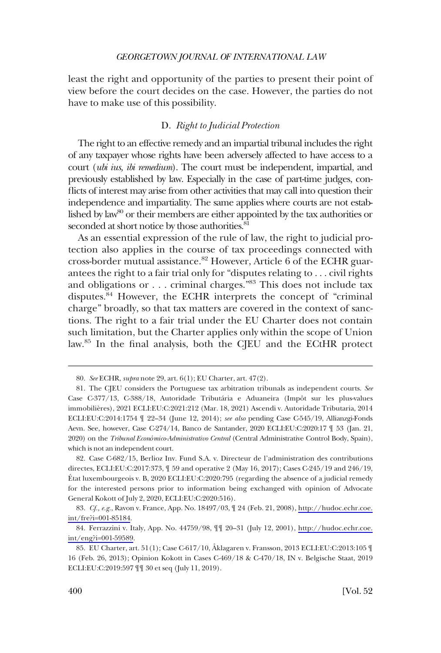<span id="page-19-0"></span>least the right and opportunity of the parties to present their point of view before the court decides on the case. However, the parties do not have to make use of this possibility.

# D. *Right to Judicial Protection*

The right to an effective remedy and an impartial tribunal includes the right of any taxpayer whose rights have been adversely affected to have access to a court (*ubi ius, ibi remedium*). The court must be independent, impartial, and previously established by law. Especially in the case of part-time judges, conflicts of interest may arise from other activities that may call into question their independence and impartiality. The same applies where courts are not established by law<sup>80</sup> or their members are either appointed by the tax authorities or seconded at short notice by those authorities.<sup>81</sup>

As an essential expression of the rule of law, the right to judicial protection also applies in the course of tax proceedings connected with cross-border mutual assistance.<sup>82</sup> However, Article 6 of the ECHR guarantees the right to a fair trial only for "disputes relating to . . . civil rights and obligations or . . . criminal charges."83 This does not include tax disputes.<sup>84</sup> However, the ECHR interprets the concept of "criminal charge" broadly, so that tax matters are covered in the context of sanctions. The right to a fair trial under the EU Charter does not contain such limitation, but the Charter applies only within the scope of Union law.85 In the final analysis, both the CJEU and the ECtHR protect

<sup>80.</sup> *See* ECHR, *supra* note 29, art. 6(1); EU Charter, art. 47(2).

<sup>81.</sup> The CJEU considers the Portuguese tax arbitration tribunals as independent courts. *See*  Case C-377/13, C-388/18, Autoridade Tributária e Aduaneira (Impôt sur les plus-values immobilières), 2021 ECLI:EU:C:2021:212 (Mar. 18, 2021) Ascendi v. Autoridade Tributaria, 2014 ECLI:EU:C:2014:1754 ¶ 22–34 (June 12, 2014); *see also* pending Case C-545/19, Allianzgi-Fonds Aevn. See, however, Case C-274/14, Banco de Santander, 2020 ECLI:EU:C:2020:17 ¶ 53 (Jan. 21, 2020) on the *Tribunal Económico-Administrativo Central* (Central Administrative Control Body, Spain), which is not an independent court.

<sup>82.</sup> Case C-682/15, Berlioz Inv. Fund S.A. v. Directeur de l'administration des contributions directes, ECLI:EU:C:2017:373, ¶ 59 and operative 2 (May 16, 2017); Cases C-245/19 and 246/19, E´tat luxembourgeois v. B, 2020 ECLI:EU:C:2020:795 (regarding the absence of a judicial remedy for the interested persons prior to information being exchanged with opinion of Advocate General Kokott of July 2, 2020, ECLI:EU:C:2020:516).

<sup>83.</sup> *Cf., e.g.*, Ravon v. France, App. No. 18497/03,  $\parallel$  24 (Feb. 21, 2008), [http://hudoc.echr.coe.](http://hudoc.echr.coe.int/fre?i=001-85184) [int/fre?i=001-85184.](http://hudoc.echr.coe.int/fre?i=001-85184)

<sup>84.</sup> Ferrazzini v. Italy, App. No. 44759/98,  $\parallel \parallel$  20–31 (July 12, 2001), http://hudoc.echr.coe. [int/eng?i=001-59589.](http://hudoc.echr.coe.int/eng?i=001-59589)

<sup>85.</sup> EU Charter, art. 51(1); Case C-617/10, Åklagaren v. Fransson, 2013 ECLI:EU:C:2013:105 [ 16 (Feb. 26, 2013); Opinion Kokott in Cases C-469/18 & C-470/18, IN v. Belgische Staat, 2019 ECLI:EU:C:2019:597 ¶¶ 30 et seq (July 11, 2019).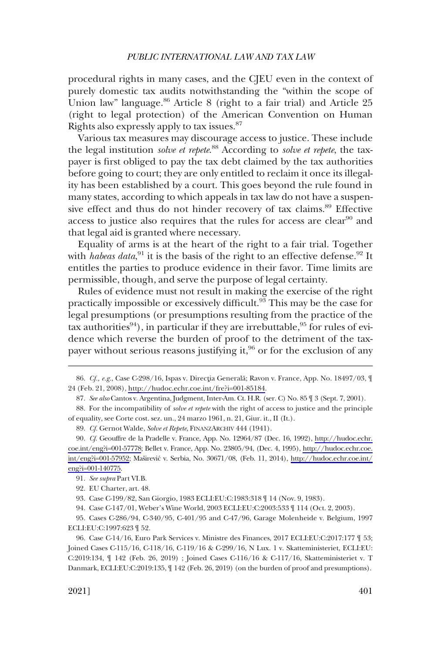procedural rights in many cases, and the CJEU even in the context of purely domestic tax audits notwithstanding the "within the scope of Union law" language.<sup>86</sup> Article 8 (right to a fair trial) and Article 25 (right to legal protection) of the American Convention on Human Rights also expressly apply to tax issues.87

Various tax measures may discourage access to justice. These include the legal institution *solve et repete*. 88 According to *solve et repete*, the taxpayer is first obliged to pay the tax debt claimed by the tax authorities before going to court; they are only entitled to reclaim it once its illegality has been established by a court. This goes beyond the rule found in many states, according to which appeals in tax law do not have a suspensive effect and thus do not hinder recovery of tax claims.<sup>89</sup> Effective access to justice also requires that the rules for access are clear<sup>90</sup> and that legal aid is granted where necessary.

Equality of arms is at the heart of the right to a fair trial. Together with *habeas data*,<sup>91</sup> it is the basis of the right to an effective defense.<sup>92</sup> It entitles the parties to produce evidence in their favor. Time limits are permissible, though, and serve the purpose of legal certainty.

Rules of evidence must not result in making the exercise of the right practically impossible or excessively difficult.93 This may be the case for legal presumptions (or presumptions resulting from the practice of the tax authorities<sup>94</sup>), in particular if they are irrebuttable,  $95$  for rules of evidence which reverse the burden of proof to the detriment of the taxpayer without serious reasons justifying it,<sup>96</sup> or for the exclusion of any

89. *Cf.* Gernot Walde, *Solve et Repete*, FINANZARCHIV 444 (1941).

93. Case C-199/82, San Giorgio, 1983 ECLI:EU:C:1983:318 ¶ 14 (Nov. 9, 1983).

94. Case C-147/01, Weber's Wine World, 2003 ECLI:EU:C:2003:533 ¶ 114 (Oct. 2, 2003).

95. Cases C-286/94, C-340/95, C-401/95 and C-47/96, Garage Molenheide v. Belgium, 1997 ECLI:EU:C:1997:623 ¶ 52.

96. Case C-14/16, Euro Park Services v. Ministre des Finances, 2017 ECLI:EU:C:2017:177 ¶ 53; Joined Cases C-115/16, C-118/16, C-119/16 & C-299/16, N Lux. 1 v. Skatteministeriet, ECLI:EU: C:2019:134, ¶ 142 (Feb. 26, 2019) ; Joined Cases C-116/16 & C-117/16, Skatteministeriet v. T Danmark, ECLI:EU:C:2019:135,  $\P$  142 (Feb. 26, 2019) (on the burden of proof and presumptions).

<sup>86.</sup> Cf., e.g., Case C-298/16, Ispas v. Directia Generală; Ravon v. France, App. No. 18497/03, ¶ 24 (Feb. 21, 2008),<http://hudoc.echr.coe.int/fre?i=001-85184>.

<sup>87.</sup> *See also* Cantos v. Argentina, Judgment, Inter-Am. Ct. H.R. (ser. C) No. 85 ¶ 3 (Sept. 7, 2001).

<sup>88.</sup> For the incompatibility of *solve et repete* with the right of access to justice and the principle of equality, see Corte cost. sez. un., 24 marzo 1961, n. 21, Giur. it., II (It.).

<sup>90.</sup> *Cf.* Geouffre de la Pradelle v. France, App. No. 12964/87 (Dec. 16, 1992), http://hudoc.echr. [coe.int/eng?i=001-57778;](http://hudoc.echr.coe.int/eng?i=001-57778) Bellet v. France, App. No. 23805/94, (Dec. 4, 1995), [http://hudoc.echr.coe.](http://hudoc.echr.coe.int/eng?i=001-57952)  [int/eng?i=001-57952](http://hudoc.echr.coe.int/eng?i=001-57952); Maširević v. Serbia, No. 30671/08, (Feb. 11, 2014), http://hudoc.echr.coe.int/ [eng?i=001-140775.](http://hudoc.echr.coe.int/eng?i=001-140775)

<sup>91.</sup> *See supra* Part VI.B.

<sup>92.</sup> EU Charter, art. 48.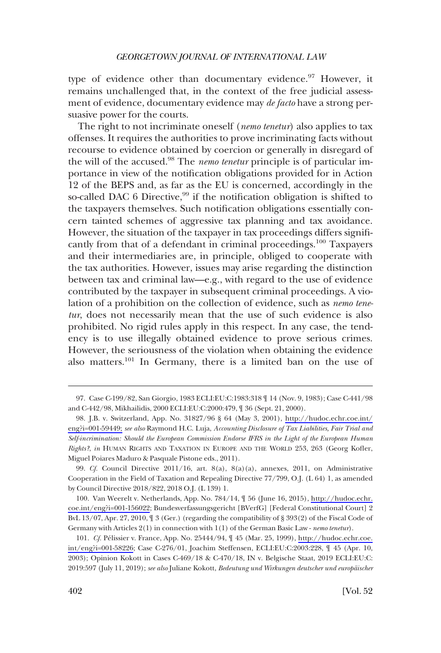type of evidence other than documentary evidence.<sup>97</sup> However, it remains unchallenged that, in the context of the free judicial assessment of evidence, documentary evidence may *de facto* have a strong persuasive power for the courts.

The right to not incriminate oneself (*nemo tenetur*) also applies to tax offenses. It requires the authorities to prove incriminating facts without recourse to evidence obtained by coercion or generally in disregard of the will of the accused.98 The *nemo tenetur* principle is of particular importance in view of the notification obligations provided for in Action 12 of the BEPS and, as far as the EU is concerned, accordingly in the so-called DAC 6 Directive, $99$  if the notification obligation is shifted to the taxpayers themselves. Such notification obligations essentially concern tainted schemes of aggressive tax planning and tax avoidance. However, the situation of the taxpayer in tax proceedings differs significantly from that of a defendant in criminal proceedings.<sup>100</sup> Taxpayers and their intermediaries are, in principle, obliged to cooperate with the tax authorities. However, issues may arise regarding the distinction between tax and criminal law—e.g., with regard to the use of evidence contributed by the taxpayer in subsequent criminal proceedings. A violation of a prohibition on the collection of evidence, such as *nemo tenetur*, does not necessarily mean that the use of such evidence is also prohibited. No rigid rules apply in this respect. In any case, the tendency is to use illegally obtained evidence to prove serious crimes. However, the seriousness of the violation when obtaining the evidence also matters.<sup>101</sup> In Germany, there is a limited ban on the use of

100. Van Weerelt v. Netherlands, App. No. 784/14,  $\parallel$  56 (June 16, 2015), [http://hudoc.echr.](http://hudoc.echr.coe.int/eng?i=001-156022) [coe.int/eng?i=001-156022](http://hudoc.echr.coe.int/eng?i=001-156022); Bundesverfassungsgericht [BVerfG] [Federal Constitutional Court] 2 BvL 13/07, Apr. 27, 2010, ¶ 3 (Ger.) (regarding the compatibility of § 393(2) of the Fiscal Code of Germany with Articles 2(1) in connection with 1(1) of the German Basic Law - *nemo tenetur*).

<sup>97.</sup> Case C-199/82, San Giorgio, 1983 ECLI:EU:C:1983:318 ¶ 14 (Nov. 9, 1983); Case C-441/98 and C-442/98, Mikhailidis, 2000 ECLI:EU:C:2000:479, ¶ 36 (Sept. 21, 2000).

J.B. v. Switzerland, App. No. 31827/96 § 64 (May 3, 2001), [http://hudoc.echr.coe.int/](http://hudoc.echr.coe.int/eng?i=001-59449) 98. [eng?i=001-59449;](http://hudoc.echr.coe.int/eng?i=001-59449;) *see also* Raymond H.C. Luja, *Accounting Disclosure of Tax Liabilities, Fair Trial and Self-incrimination: Should the European Commission Endorse IFRS in the Light of the European Human Rights?*, *in* HUMAN RIGHTS AND TAXATION IN EUROPE AND THE WORLD 253, 263 (Georg Kofler, Miguel Poiares Maduro & Pasquale Pistone eds., 2011).

<sup>99.</sup> *Cf.* Council Directive 2011/16, art. 8(a), 8(a)(a), annexes, 2011, on Administrative Cooperation in the Field of Taxation and Repealing Directive 77/799, O.J. (L 64) 1, as amended by Council Directive 2018/822, 2018 O.J. (L 139) 1.

<sup>101.</sup> *Cf.* Pélissier v. France, App. No. 25444/94,  $\parallel$  45 (Mar. 25, 1999), [http://hudoc.echr.coe.](http://hudoc.echr.coe.int/eng?i=001-58226) [int/eng?i=001-58226](http://hudoc.echr.coe.int/eng?i=001-58226); Case C-276/01, Joachim Steffensen, ECLI:EU:C:2003:228, ¶ 45 (Apr. 10, 2003); Opinion Kokott in Cases C-469/18 & C-470/18, IN v. Belgische Staat, 2019 ECLI:EU:C: 2019:597 (July 11, 2019); *see also* Juliane Kokott, *Bedeutung und Wirkungen deutscher und europa¨ischer*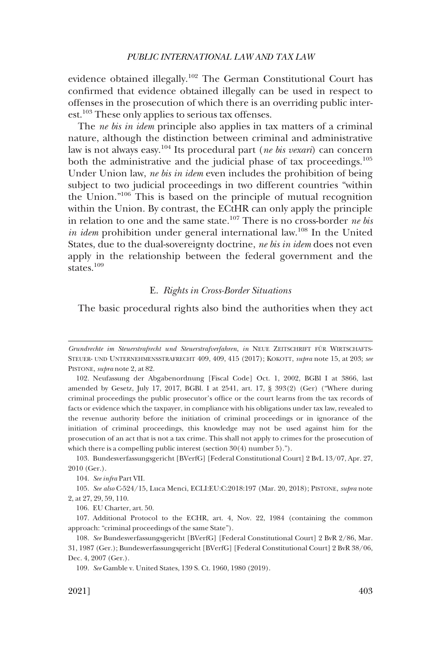<span id="page-22-0"></span>evidence obtained illegally.<sup>102</sup> The German Constitutional Court has confirmed that evidence obtained illegally can be used in respect to offenses in the prosecution of which there is an overriding public interest.103 These only applies to serious tax offenses.

The *ne bis in idem* principle also applies in tax matters of a criminal nature, although the distinction between criminal and administrative law is not always easy.104 Its procedural part (*ne bis vexari*) can concern both the administrative and the judicial phase of tax proceedings.<sup>105</sup> Under Union law, *ne bis in idem* even includes the prohibition of being subject to two judicial proceedings in two different countries "within the Union."106 This is based on the principle of mutual recognition within the Union. By contrast, the ECtHR can only apply the principle in relation to one and the same state.107 There is no cross-border *ne bis in idem* prohibition under general international law.<sup>108</sup> In the United States, due to the dual-sovereignty doctrine, *ne bis in idem* does not even apply in the relationship between the federal government and the states.<sup>109</sup>

# E. *Rights in Cross-Border Situations*

The basic procedural rights also bind the authorities when they act

103. Bundesverfassungsgericht [BVerfG] [Federal Constitutional Court] 2 BvL 13/07, Apr. 27, 2010 (Ger.).

104. *See infra* Part VII.

105. *See also* C-524/15, Luca Menci, ECLI:EU:C:2018:197 (Mar. 20, 2018); PISTONE, *supra* note 2, at 27, 29, 59, 110.

106. EU Charter, art. 50.

107. Additional Protocol to the ECHR, art. 4, Nov. 22, 1984 (containing the common approach: "criminal proceedings of the same State").

*Grundrechte im Steuerstrafrecht und Steuerstrafverfahren*, *in* NEUE ZEITSCHRIFT FU¨ R WIRTSCHAFTS-STEUER- UND UNTERNEHMENSSTRAFRECHT 409, 409, 415 (2017); KOKOTT, *supra* note 15, at 203; *see*  PISTONE, *supra* note 2, at 82.

<sup>102.</sup> Neufassung der Abgabenordnung [Fiscal Code] Oct. 1, 2002, BGBl I at 3866, last amended by Gesetz, July 17, 2017, BGBl. I at 2541, art. 17, § 393(2) (Ger) ("Where during criminal proceedings the public prosecutor's office or the court learns from the tax records of facts or evidence which the taxpayer, in compliance with his obligations under tax law, revealed to the revenue authority before the initiation of criminal proceedings or in ignorance of the initiation of criminal proceedings, this knowledge may not be used against him for the prosecution of an act that is not a tax crime. This shall not apply to crimes for the prosecution of which there is a compelling public interest (section 30(4) number 5).").

<sup>108.</sup> *See* Bundesverfassungsgericht [BVerfG] [Federal Constitutional Court] 2 BvR 2/86, Mar. 31, 1987 (Ger.); Bundesverfassungsgericht [BVerfG] [Federal Constitutional Court] 2 BvR 38/06, Dec. 4, 2007 (Ger.).

<sup>109.</sup> *See* Gamble v. United States, 139 S. Ct. 1960, 1980 (2019).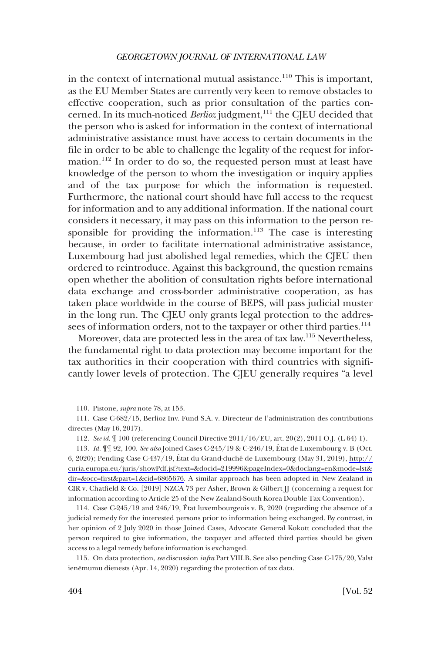in the context of international mutual assistance.<sup>110</sup> This is important, as the EU Member States are currently very keen to remove obstacles to effective cooperation, such as prior consultation of the parties concerned. In its much-noticed *Berlioz* judgment,<sup>111</sup> the CJEU decided that the person who is asked for information in the context of international administrative assistance must have access to certain documents in the file in order to be able to challenge the legality of the request for information.112 In order to do so, the requested person must at least have knowledge of the person to whom the investigation or inquiry applies and of the tax purpose for which the information is requested. Furthermore, the national court should have full access to the request for information and to any additional information. If the national court considers it necessary, it may pass on this information to the person responsible for providing the information.<sup>113</sup> The case is interesting because, in order to facilitate international administrative assistance, Luxembourg had just abolished legal remedies, which the CJEU then ordered to reintroduce. Against this background, the question remains open whether the abolition of consultation rights before international data exchange and cross-border administrative cooperation, as has taken place worldwide in the course of BEPS, will pass judicial muster in the long run. The CJEU only grants legal protection to the addressees of information orders, not to the taxpayer or other third parties.<sup>114</sup>

Moreover, data are protected less in the area of tax law.<sup>115</sup> Nevertheless, the fundamental right to data protection may become important for the tax authorities in their cooperation with third countries with significantly lower levels of protection. The CJEU generally requires "a level

<sup>110.</sup> Pistone, *supra* note 78, at 153.

<sup>111.</sup> Case C-682/15, Berlioz Inv. Fund S.A. v. Directeur de l'administration des contributions directes (May 16, 2017).

<sup>112.</sup> *See id.* ¶ 100 (referencing Council Directive 2011/16/EU, art. 20(2), 2011 O.J. (L 64) 1).

<sup>113.</sup> *Id.*  $\P$   $\P$  92, 100. *See also* Joined Cases C-245/19 & C-246/19, État de Luxembourg v. B (Oct. 6, 2020); Pending Case C-437/19, État du Grand-duché de Luxembourg (May 31, 2019), [http://](http://curia.europa.eu/juris/showPdf.jsf?text=&docid=219996&pageIndex=0&doclang=en&mode=lst&dir=&occ=first&part=1&cid=6865676) [curia.europa.eu/juris/showPdf.jsf?text=&docid=219996&pageIndex=0&doclang=en&mode=lst&](http://curia.europa.eu/juris/showPdf.jsf?text=&docid=219996&pageIndex=0&doclang=en&mode=lst&dir=&occ=first&part=1&cid=6865676) [dir=&occ=first&part=1&cid=6865676.](http://curia.europa.eu/juris/showPdf.jsf?text=&docid=219996&pageIndex=0&doclang=en&mode=lst&dir=&occ=first&part=1&cid=6865676) A similar approach has been adopted in New Zealand in CIR v. Chatfield & Co. [2019] NZCA 73 per Asher, Brown & Gilbert JJ (concerning a request for information according to Article 25 of the New Zealand-South Korea Double Tax Convention).

<sup>114.</sup> Case C-245/19 and 246/19, État luxembourgeois v. B, 2020 (regarding the absence of a judicial remedy for the interested persons prior to information being exchanged. By contrast, in her opinion of 2 July 2020 in those Joined Cases, Advocate General Kokott concluded that the person required to give information, the taxpayer and affected third parties should be given access to a legal remedy before information is exchanged.

<sup>115.</sup> On data protection, *see* discussion *infra* Part VIII.B. See also pending Case C-175/20, Valst ienēmumu dienests (Apr. 14, 2020) regarding the protection of tax data.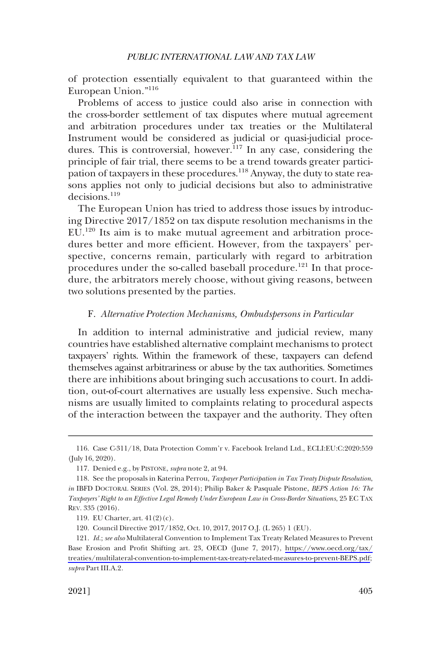<span id="page-24-0"></span>of protection essentially equivalent to that guaranteed within the European Union."<sup>116</sup>

Problems of access to justice could also arise in connection with the cross-border settlement of tax disputes where mutual agreement and arbitration procedures under tax treaties or the Multilateral Instrument would be considered as judicial or quasi-judicial procedures. This is controversial, however.<sup>117</sup> In any case, considering the principle of fair trial, there seems to be a trend towards greater participation of taxpayers in these procedures.<sup>118</sup> Anyway, the duty to state reasons applies not only to judicial decisions but also to administrative decisions.119

The European Union has tried to address those issues by introducing Directive 2017/1852 on tax dispute resolution mechanisms in the EU.120 Its aim is to make mutual agreement and arbitration procedures better and more efficient. However, from the taxpayers' perspective, concerns remain, particularly with regard to arbitration procedures under the so-called baseball procedure.<sup>121</sup> In that procedure, the arbitrators merely choose, without giving reasons, between two solutions presented by the parties.

### F. *Alternative Protection Mechanisms, Ombudspersons in Particular*

In addition to internal administrative and judicial review, many countries have established alternative complaint mechanisms to protect taxpayers' rights. Within the framework of these, taxpayers can defend themselves against arbitrariness or abuse by the tax authorities. Sometimes there are inhibitions about bringing such accusations to court. In addition, out-of-court alternatives are usually less expensive. Such mechanisms are usually limited to complaints relating to procedural aspects of the interaction between the taxpayer and the authority. They often

120. Council Directive 2017/1852, Oct. 10, 2017, 2017 O.J. (L 265) 1 (EU).

<sup>116.</sup> Case C-311/18, Data Protection Comm'r v. Facebook Ireland Ltd., ECLI:EU:C:2020:559 (July 16, 2020).

<sup>117.</sup> Denied e.g., by PISTONE, *supra* note 2, at 94.

<sup>118.</sup> See the proposals in Katerina Perrou, *Taxpayer Participation in Tax Treaty Dispute Resolution*, *in* IBFD DOCTORAL SERIES (Vol. 28, 2014); Philip Baker & Pasquale Pistone, *BEPS Action 16: The Taxpayers' Right to an Effective Legal Remedy Under European Law in Cross-Border Situations*, 25 EC TAX REV. 335 (2016).

<sup>119.</sup> EU Charter, art. 41(2)(c).

<sup>121.</sup> *Id.*; see also Multilateral Convention to Implement Tax Treaty Related Measures to Prevent Base Erosion and Profit Shifting art. 23, OECD (June 7, 2017), [https://www.oecd.org/tax/](https://www.oecd.org/tax/treaties/multilateral-convention-to-implement-tax-treaty-related-measures-to-prevent-BEPS.pdf) [treaties/multilateral-convention-to-implement-tax-treaty-related-measures-to-prevent-BEPS.pdf](https://www.oecd.org/tax/treaties/multilateral-convention-to-implement-tax-treaty-related-measures-to-prevent-BEPS.pdf); *supra* Part III.A.2.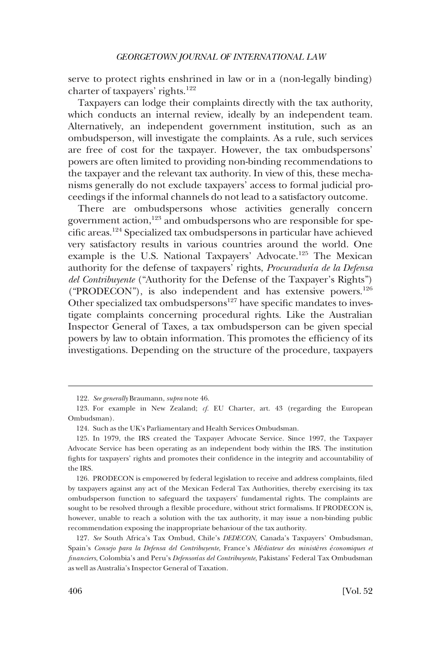serve to protect rights enshrined in law or in a (non-legally binding) charter of taxpayers' rights.<sup>122</sup>

Taxpayers can lodge their complaints directly with the tax authority, which conducts an internal review, ideally by an independent team. Alternatively, an independent government institution, such as an ombudsperson, will investigate the complaints. As a rule, such services are free of cost for the taxpayer. However, the tax ombudspersons' powers are often limited to providing non-binding recommendations to the taxpayer and the relevant tax authority. In view of this, these mechanisms generally do not exclude taxpayers' access to formal judicial proceedings if the informal channels do not lead to a satisfactory outcome.

There are ombudspersons whose activities generally concern government action, $123$  and ombudspersons who are responsible for specific areas.124 Specialized tax ombudspersons in particular have achieved very satisfactory results in various countries around the world. One example is the U.S. National Taxpayers' Advocate.<sup>125</sup> The Mexican authority for the defense of taxpayers' rights, *Procuraduría de la Defensa del Contribuyente* ("Authority for the Defense of the Taxpayer's Rights") ("PRODECON"), is also independent and has extensive powers.<sup>126</sup> Other specialized tax ombudspersons<sup>127</sup> have specific mandates to investigate complaints concerning procedural rights. Like the Australian Inspector General of Taxes, a tax ombudsperson can be given special powers by law to obtain information. This promotes the efficiency of its investigations. Depending on the structure of the procedure, taxpayers

<sup>122.</sup> *See generally* Braumann, *supra* note 46.

<sup>123.</sup> For example in New Zealand; *cf.* EU Charter, art. 43 (regarding the European Ombudsman).

<sup>124.</sup> Such as the UK's Parliamentary and Health Services Ombudsman.

<sup>125.</sup> In 1979, the IRS created the Taxpayer Advocate Service. Since 1997, the Taxpayer Advocate Service has been operating as an independent body within the IRS. The institution fights for taxpayers' rights and promotes their confidence in the integrity and accountability of the IRS.

<sup>126.</sup> PRODECON is empowered by federal legislation to receive and address complaints, filed by taxpayers against any act of the Mexican Federal Tax Authorities, thereby exercising its tax ombudsperson function to safeguard the taxpayers' fundamental rights. The complaints are sought to be resolved through a flexible procedure, without strict formalisms. If PRODECON is, however, unable to reach a solution with the tax authority, it may issue a non-binding public recommendation exposing the inappropriate behaviour of the tax authority.

<sup>127.</sup> *See* South Africa's Tax Ombud, Chile's *DEDECON*, Canada's Taxpayers' Ombudsman, Spain's *Consejo para la Defensa del Contribuyente*, France's *Médiateur des ministères économiques et financiers*, Colombia's and Peru's *Defensorías del Contribuyente*, Pakistans' Federal Tax Ombudsman as well as Australia's Inspector General of Taxation.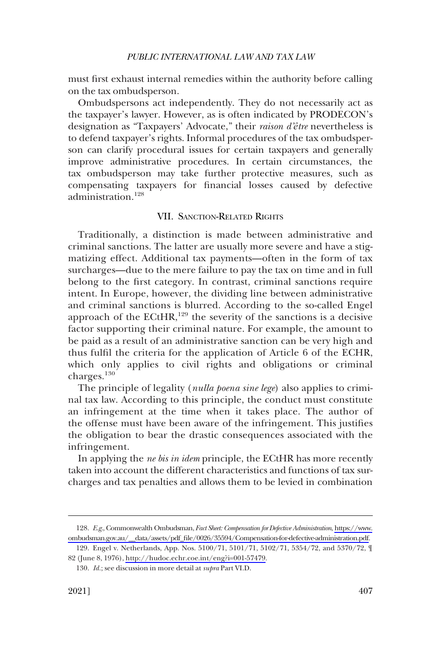<span id="page-26-0"></span>must first exhaust internal remedies within the authority before calling on the tax ombudsperson.

Ombudspersons act independently. They do not necessarily act as the taxpayer's lawyer. However, as is often indicated by PRODECON's designation as "Taxpayers' Advocate," their *raison d'être* nevertheless is to defend taxpayer's rights. Informal procedures of the tax ombudsperson can clarify procedural issues for certain taxpayers and generally improve administrative procedures. In certain circumstances, the tax ombudsperson may take further protective measures, such as compensating taxpayers for financial losses caused by defective administration.128

## VII. SANCTION-RELATED RIGHTS

Traditionally, a distinction is made between administrative and criminal sanctions. The latter are usually more severe and have a stigmatizing effect. Additional tax payments—often in the form of tax surcharges—due to the mere failure to pay the tax on time and in full belong to the first category. In contrast, criminal sanctions require intent. In Europe, however, the dividing line between administrative and criminal sanctions is blurred. According to the so-called Engel approach of the  $ECHR$ ,<sup>129</sup> the severity of the sanctions is a decisive factor supporting their criminal nature. For example, the amount to be paid as a result of an administrative sanction can be very high and thus fulfil the criteria for the application of Article 6 of the ECHR, which only applies to civil rights and obligations or criminal charges.<sup>130</sup>

The principle of legality (*nulla poena sine lege*) also applies to criminal tax law. According to this principle, the conduct must constitute an infringement at the time when it takes place. The author of the offense must have been aware of the infringement. This justifies the obligation to bear the drastic consequences associated with the infringement.

In applying the *ne bis in idem* principle, the ECtHR has more recently taken into account the different characteristics and functions of tax surcharges and tax penalties and allows them to be levied in combination

*E.g.*, Commonwealth Ombudsman, *Fact Sheet: Compensation for Defective Administration*, [https://www.](https://www.ombudsman.gov.au/__data/assets/pdf_file/0026/35594/Compensation-for-defective-administration.pdf)  128. [ombudsman.gov.au/\\_\\_data/assets/pdf\\_file/0026/35594/Compensation-for-defective-administration.pdf](https://www.ombudsman.gov.au/__data/assets/pdf_file/0026/35594/Compensation-for-defective-administration.pdf).

<sup>129.</sup> Engel v. Netherlands, App. Nos. 5100/71, 5101/71, 5102/71, 5354/72, and 5370/72,  $\P$ 82 (June 8, 1976), [http://hudoc.echr.coe.int/eng?i=001-57479.](http://hudoc.echr.coe.int/eng?i=001-57479)

<sup>130.</sup> *Id.*; see discussion in more detail at *supra* Part VI.D.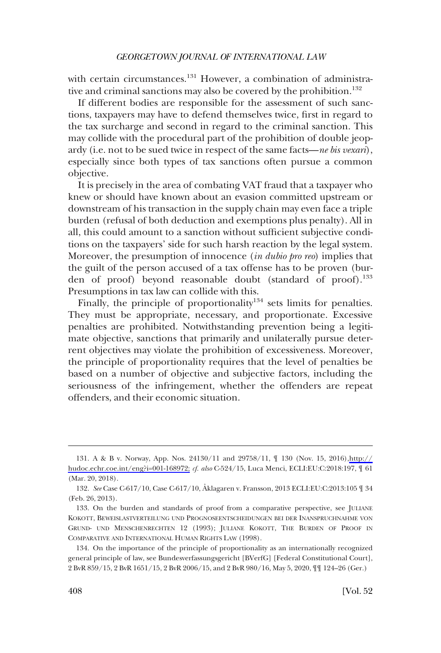with certain circumstances.<sup>131</sup> However, a combination of administrative and criminal sanctions may also be covered by the prohibition.<sup>132</sup>

If different bodies are responsible for the assessment of such sanctions, taxpayers may have to defend themselves twice, first in regard to the tax surcharge and second in regard to the criminal sanction. This may collide with the procedural part of the prohibition of double jeopardy (i.e. not to be sued twice in respect of the same facts—*ne bis vexari*), especially since both types of tax sanctions often pursue a common objective.

It is precisely in the area of combating VAT fraud that a taxpayer who knew or should have known about an evasion committed upstream or downstream of his transaction in the supply chain may even face a triple burden (refusal of both deduction and exemptions plus penalty). All in all, this could amount to a sanction without sufficient subjective conditions on the taxpayers' side for such harsh reaction by the legal system. Moreover, the presumption of innocence (*in dubio pro reo*) implies that the guilt of the person accused of a tax offense has to be proven (burden of proof) beyond reasonable doubt (standard of proof).<sup>133</sup> Presumptions in tax law can collide with this.

Finally, the principle of proportionality<sup>134</sup> sets limits for penalties. They must be appropriate, necessary, and proportionate. Excessive penalties are prohibited. Notwithstanding prevention being a legitimate objective, sanctions that primarily and unilaterally pursue deterrent objectives may violate the prohibition of excessiveness. Moreover, the principle of proportionality requires that the level of penalties be based on a number of objective and subjective factors, including the seriousness of the infringement, whether the offenders are repeat offenders, and their economic situation.

<sup>131.</sup> A & B v. Norway, App. Nos. 24130/11 and 29758/11,  $\parallel$  130 (Nov. 15, 2016),http:// [hudoc.echr.coe.int/eng?i=001-168972;](http://hudoc.echr.coe.int/eng?i=001-168972) *cf. also* C-524/15, Luca Menci, ECLI:EU:C:2018:197, ¶ 61 (Mar. 20, 2018).

<sup>132.</sup> See Case C-617/10, Case C-617/10, Åklagaren v. Fransson, 2013 ECLI:EU:C:2013:105 [ 34 (Feb. 26, 2013).

<sup>133.</sup> On the burden and standards of proof from a comparative perspective, see JULIANE KOKOTT, BEWEISLASTVERTEILUNG UND PROGNOSEENTSCHEIDUNGEN BEI DER INANSPRUCHNAHME VON GRUND- UND MENSCHENRECHTEN 12 (1993); JULIANE KOKOTT, THE BURDEN OF PROOF IN COMPARATIVE AND INTERNATIONAL HUMAN RIGHTS LAW (1998).

<sup>134.</sup> On the importance of the principle of proportionality as an internationally recognized general principle of law, see Bundesverfassungsgericht [BVerfG] [Federal Constitutional Court], 2 BvR 859/15, 2 BvR 1651/15, 2 BvR 2006/15, and 2 BvR 980/16, May 5, 2020, ¶¶ 124–26 (Ger.)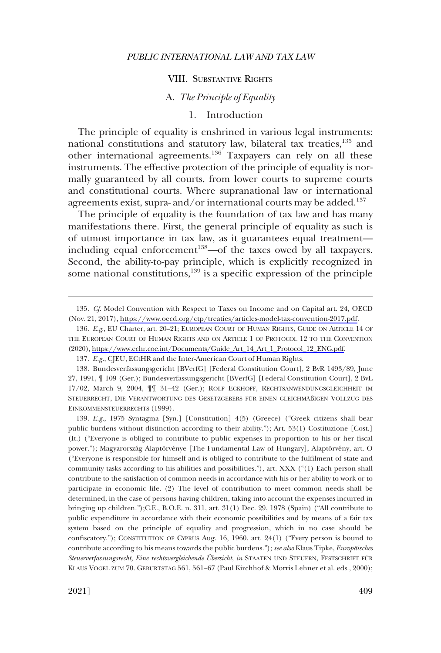#### VIII. SUBSTANTIVE RIGHTS

# A. *The Principle of Equality*

### 1. Introduction

<span id="page-28-0"></span>The principle of equality is enshrined in various legal instruments: national constitutions and statutory law, bilateral tax treaties,<sup>135</sup> and other international agreements.<sup>136</sup> Taxpayers can rely on all these instruments. The effective protection of the principle of equality is normally guaranteed by all courts, from lower courts to supreme courts and constitutional courts. Where supranational law or international agreements exist, supra- and/or international courts may be added.<sup>137</sup>

The principle of equality is the foundation of tax law and has many manifestations there. First, the general principle of equality as such is of utmost importance in tax law, as it guarantees equal treatment including equal enforcement<sup>138</sup>—of the taxes owed by all taxpayers. Second, the ability-to-pay principle, which is explicitly recognized in some national constitutions, $139$  is a specific expression of the principle

139. *E.g.*, 1975 Syntagma [Syn.] [Constitution] 4(5) (Greece) ("Greek citizens shall bear public burdens without distinction according to their ability."); Art. 53(1) Costituzione [Cost.] (It.) ("Everyone is obliged to contribute to public expenses in proportion to his or her fiscal power."); Magyarország Alaptörvénye [The Fundamental Law of Hungary], Alaptörvény, art. O ("Everyone is responsible for himself and is obliged to contribute to the fulfilment of state and community tasks according to his abilities and possibilities."), art. XXX ("(1) Each person shall contribute to the satisfaction of common needs in accordance with his or her ability to work or to participate in economic life. (2) The level of contribution to meet common needs shall be determined, in the case of persons having children, taking into account the expenses incurred in bringing up children.");C.E., B.O.E. n. 311, art. 31(1) Dec. 29, 1978 (Spain) ("All contribute to public expenditure in accordance with their economic possibilities and by means of a fair tax system based on the principle of equality and progression, which in no case should be confiscatory."); CONSTITUTION OF CYPRUS Aug. 16, 1960, art. 24(1) ("Every person is bound to contribute according to his means towards the public burdens."); *see also* Klaus Tipke, *Europäisches Steuerverfassungsrecht, Eine rechtsvergleichende U¨ bersicht*, *in* STAATEN UND STEUERN, FESTSCHRIFT FU¨ <sup>R</sup> KLAUS VOGEL ZUM 70. GEBURTSTAG 561, 561–67 (Paul Kirchhof & Morris Lehner et al. eds., 2000);

*Cf*. Model Convention with Respect to Taxes on Income and on Capital art. 24, OECD 135. (Nov. 21, 2017),<https://www.oecd.org/ctp/treaties/articles-model-tax-convention-2017.pdf>.

<sup>136.</sup> E.g., EU Charter, art. 20–21; EUROPEAN COURT OF HUMAN RIGHTS, GUIDE ON ARTICLE 14 OF THE EUROPEAN COURT OF HUMAN RIGHTS AND ON ARTICLE 1 OF PROTOCOL 12 TO THE CONVENTION (2020), [https://www.echr.coe.int/Documents/Guide\\_Art\\_14\\_Art\\_1\\_Protocol\\_12\\_ENG.pdf](https://www.echr.coe.int/Documents/Guide_Art_14_Art_1_Protocol_12_ENG.pdf).

<sup>137.</sup> *E.g.*, CJEU, ECtHR and the Inter-American Court of Human Rights.

<sup>138.</sup> Bundesverfassungsgericht [BVerfG] [Federal Constitution Court], 2 BvR 1493/89, June 27, 1991, ¶ 109 (Ger.); Bundesverfassungsgericht [BVerfG] [Federal Constitution Court], 2 BvL 17/02, March 9, 2004, ¶¶ 31–42 (Ger.); ROLF ECKHOFF, RECHTSANWENDUNGSGLEICHHEIT IM STEUERRECHT, DIE VERANTWORTUNG DES GESETZGEBERS FÜR EINEN GLEICHMÄßIGEN VOLLZUG DES EINKOMMENSTEUERRECHTS (1999).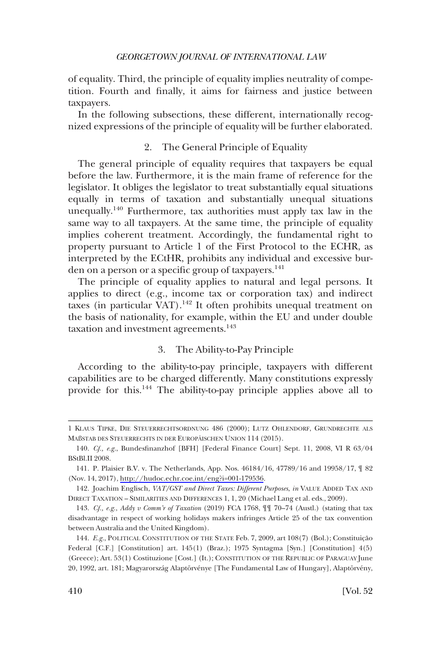<span id="page-29-0"></span>of equality. Third, the principle of equality implies neutrality of competition. Fourth and finally, it aims for fairness and justice between taxpayers.

In the following subsections, these different, internationally recognized expressions of the principle of equality will be further elaborated.

# 2. The General Principle of Equality

The general principle of equality requires that taxpayers be equal before the law. Furthermore, it is the main frame of reference for the legislator. It obliges the legislator to treat substantially equal situations equally in terms of taxation and substantially unequal situations unequally.140 Furthermore, tax authorities must apply tax law in the same way to all taxpayers. At the same time, the principle of equality implies coherent treatment. Accordingly, the fundamental right to property pursuant to Article 1 of the First Protocol to the ECHR, as interpreted by the ECtHR, prohibits any individual and excessive burden on a person or a specific group of taxpayers.<sup>141</sup>

The principle of equality applies to natural and legal persons. It applies to direct (e.g., income tax or corporation tax) and indirect taxes (in particular  $VAT$ ).<sup>142</sup> It often prohibits unequal treatment on the basis of nationality, for example, within the EU and under double taxation and investment agreements.<sup>143</sup>

# 3. The Ability-to-Pay Principle

According to the ability-to-pay principle, taxpayers with different capabilities are to be charged differently. Many constitutions expressly provide for this.144 The ability-to-pay principle applies above all to

<sup>1</sup> KLAUS TIPKE, DIE STEUERRECHTSORDNUNG 486 (2000); LUTZ OHLENDORF, GRUNDRECHTE ALS MAßSTAB DES STEUERRECHTS IN DER EUROPÄISCHEN UNION 114 (2015).

<sup>140.</sup> *Cf., e.g.*, Bundesfinanzhof [BFH] [Federal Finance Court] Sept. 11, 2008, VI R 63/04 BStBl.II 2008.

<sup>141.</sup> P. Plaisier B.V. v. The Netherlands, App. Nos. 46184/16, 47789/16 and 19958/17, ¶ 82 (Nov. 14, 2017), [http://hudoc.echr.coe.int/eng?i=001-179536.](http://hudoc.echr.coe.int/eng?i=001-179536)

<sup>142.</sup> Joachim Englisch, *VAT/GST and Direct Taxes: Different Purposes*, *in* VALUE ADDED TAX AND DIRECT TAXATION – SIMILARITIES AND DIFFERENCES 1, 1, 20 (Michael Lang et al. eds., 2009).

<sup>143.</sup> *Cf., e.g.*, *Addy v Comm'r of Taxation* (2019) FCA 1768, ¶¶ 70–74 (Austl.) (stating that tax disadvantage in respect of working holidays makers infringes Article 25 of the tax convention between Australia and the United Kingdom).

<sup>144.</sup> *E.g.*, POLITICAL CONSTITUTION OF THE STATE Feb. 7, 2009, art 108(7) (Bol.); Constituição Federal [C.F.] [Constitution] art. 145(1) (Braz.); 1975 Syntagma [Syn.] [Constitution] 4(5) (Greece); Art. 53(1) Costituzione [Cost.] (It.); CONSTITUTION OF THE REPUBLIC OF PARAGUAY June 20, 1992, art. 181; Magyarország Alaptörvénye [The Fundamental Law of Hungary], Alaptörvény,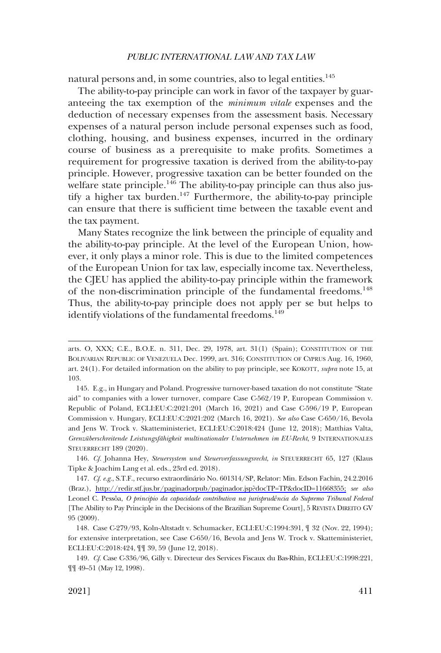natural persons and, in some countries, also to legal entities.<sup>145</sup>

The ability-to-pay principle can work in favor of the taxpayer by guaranteeing the tax exemption of the *minimum vitale* expenses and the deduction of necessary expenses from the assessment basis. Necessary expenses of a natural person include personal expenses such as food, clothing, housing, and business expenses, incurred in the ordinary course of business as a prerequisite to make profits. Sometimes a requirement for progressive taxation is derived from the ability-to-pay principle. However, progressive taxation can be better founded on the welfare state principle. $146$  The ability-to-pay principle can thus also justify a higher tax burden.<sup>147</sup> Furthermore, the ability-to-pay principle can ensure that there is sufficient time between the taxable event and the tax payment.

Many States recognize the link between the principle of equality and the ability-to-pay principle. At the level of the European Union, however, it only plays a minor role. This is due to the limited competences of the European Union for tax law, especially income tax. Nevertheless, the CJEU has applied the ability-to-pay principle within the framework of the non-discrimination principle of the fundamental freedoms.<sup>148</sup> Thus, the ability-to-pay principle does not apply per se but helps to identify violations of the fundamental freedoms.<sup>149</sup>

146. *Cf.* Johanna Hey, *Steuersystem und Steuerverfassungsrecht*, *in* STEUERRECHT 65, 127 (Klaus Tipke & Joachim Lang et al. eds., 23rd ed. 2018).

147. Cf. e.g., S.T.F., recurso extraordinário No. 601314/SP, Relator: Min. Edson Fachin, 24.2.2016 (Braz.), [http://redir.stf.jus.br/paginadorpub/paginador.jsp?docTP=TP&docID=11668355;](http://redir.stf.jus.br/paginadorpub/paginador.jsp?docTP=TP&docID=11668355) *see also*  Leonel C. Pessoˆa, *O principio da capacidade contributiva na jurisprudência do Supremo Tribunal Federal*  [The Ability to Pay Principle in the Decisions of the Brazilian Supreme Court], 5 REVISTA DIREITO GV 95 (2009).

149. *Cf.* Case C-336/96, Gilly v. Directeur des Services Fiscaux du Bas-Rhin, ECLI:EU:C:1998:221, ¶¶ 49–51 (May 12, 1998).

arts. O, XXX; C.E., B.O.E. n. 311, Dec. 29, 1978, art. 31(1) (Spain); CONSTITUTION OF THE BOLIVARIAN REPUBLIC OF VENEZUELA Dec. 1999, art. 316; CONSTITUTION OF CYPRUS Aug. 16, 1960, art. 24(1). For detailed information on the ability to pay principle, see KOKOTT, *supra* note 15, at 103.

<sup>145.</sup> E.g., in Hungary and Poland. Progressive turnover-based taxation do not constitute "State aid" to companies with a lower turnover, compare Case C-562/19 P, European Commission v. Republic of Poland, ECLI:EU:C:2021:201 (March 16, 2021) and Case C-596/19 P, European Commission v. Hungary, ECLI:EU:C:2021:202 (March 16, 2021). *See also* Case C-650/16, Bevola and Jens W. Trock v. Skatteministeriet, ECLI:EU:C:2018:424 (June 12, 2018); Matthias Valta, *Grenzu¨berschreitende Leistungsfa¨higkeit multinationaler Unternehmen im EU-Recht*, 9 INTERNATIONALES STEUERRECHT 189 (2020).

<sup>148.</sup> Case C-279/93, Koln-Altstadt v. Schumacker, ECLI:EU:C:1994:391, ¶ 32 (Nov. 22, 1994); for extensive interpretation, see Case C-650/16, Bevola and Jens W. Trock v. Skatteministeriet, ECLI:EU:C:2018:424, ¶¶ 39, 59 (June 12, 2018).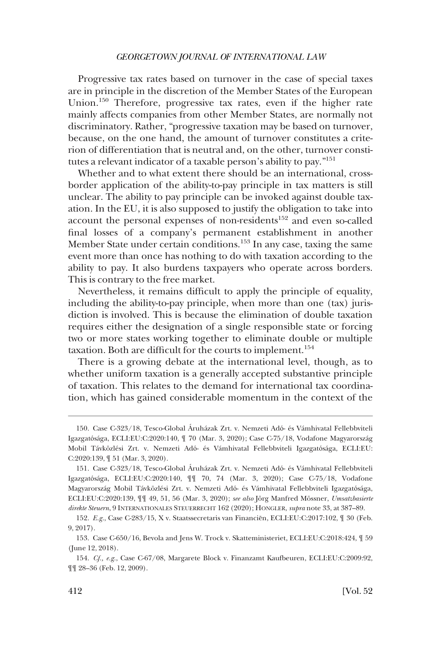Progressive tax rates based on turnover in the case of special taxes are in principle in the discretion of the Member States of the European Union.150 Therefore, progressive tax rates, even if the higher rate mainly affects companies from other Member States, are normally not discriminatory. Rather, "progressive taxation may be based on turnover, because, on the one hand, the amount of turnover constitutes a criterion of differentiation that is neutral and, on the other, turnover constitutes a relevant indicator of a taxable person's ability to pay."151

Whether and to what extent there should be an international, crossborder application of the ability-to-pay principle in tax matters is still unclear. The ability to pay principle can be invoked against double taxation. In the EU, it is also supposed to justify the obligation to take into account the personal expenses of non-residents<sup>152</sup> and even so-called final losses of a company's permanent establishment in another Member State under certain conditions.<sup>153</sup> In any case, taxing the same event more than once has nothing to do with taxation according to the ability to pay. It also burdens taxpayers who operate across borders. This is contrary to the free market.

Nevertheless, it remains difficult to apply the principle of equality, including the ability-to-pay principle, when more than one (tax) jurisdiction is involved. This is because the elimination of double taxation requires either the designation of a single responsible state or forcing two or more states working together to eliminate double or multiple taxation. Both are difficult for the courts to implement.<sup>154</sup>

There is a growing debate at the international level, though, as to whether uniform taxation is a generally accepted substantive principle of taxation. This relates to the demand for international tax coordination, which has gained considerable momentum in the context of the

<sup>150.</sup> Case C-323/18, Tesco-Global Áruházak Zrt. v. Nemzeti Adó- és Vámhivatal Fellebbviteli Igazgatósága, ECLI:EU:C:2020:140, ¶ 70 (Mar. 3, 2020); Case C-75/18, Vodafone Magyarország Mobil Távközlési Zrt. v. Nemzeti Adó- és Vámhivatal Fellebbviteli Igazgatósága, ECLI:EU: C:2020:139, ¶ 51 (Mar. 3, 2020).

<sup>151.</sup> Case C-323/18, Tesco-Global Áruházak Zrt. v. Nemzeti Adó- és Vámhivatal Fellebbviteli Igazgatósa´ga, ECLI:EU:C:2020:140, ¶¶ 70, 74 (Mar. 3, 2020); Case C-75/18, Vodafone Magyarország Mobil Távközlési Zrt. v. Nemzeti Adó- és Vámhivatal Fellebbviteli Igazgatósága, ECLI:EU:C:2020:139,  $\P\P$  49, 51, 56 (Mar. 3, 2020); *see also* Jörg Manfred Mössner, *Umsatzbasierte direkte Steuern*, 9 INTERNATIONALES STEUERRECHT 162 (2020); HONGLER, *supra* note 33, at 387–89.

<sup>152.</sup> *E.g.*, Case C-283/15, X v. Staatssecretaris van Financiën, ECLI:EU:C:2017:102, ¶ 30 (Feb. 9, 2017).

<sup>153.</sup> Case C-650/16, Bevola and Jens W. Trock v. Skatteministeriet, ECLI:EU:C:2018:424, ¶ 59 (June 12, 2018).

<sup>154.</sup> *Cf., e.g.*, Case C-67/08, Margarete Block v. Finanzamt Kaufbeuren, ECLI:EU:C:2009:92, ¶¶ 28–36 (Feb. 12, 2009).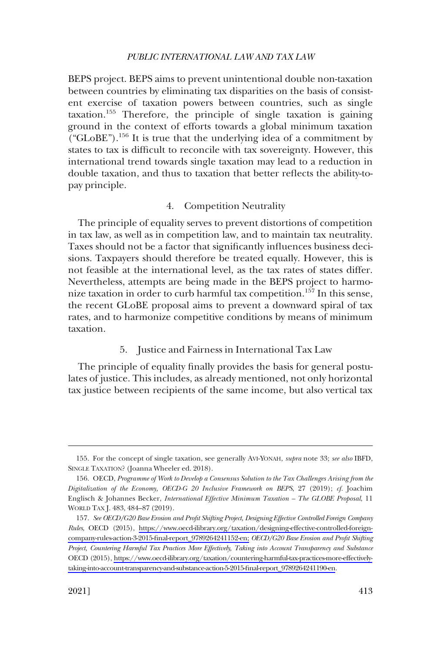<span id="page-32-0"></span>BEPS project. BEPS aims to prevent unintentional double non-taxation between countries by eliminating tax disparities on the basis of consistent exercise of taxation powers between countries, such as single taxation.155 Therefore, the principle of single taxation is gaining ground in the context of efforts towards a global minimum taxation (" $GLoBE$ ").<sup>156</sup> It is true that the underlying idea of a commitment by states to tax is difficult to reconcile with tax sovereignty. However, this international trend towards single taxation may lead to a reduction in double taxation, and thus to taxation that better reflects the ability-topay principle.

# 4. Competition Neutrality

The principle of equality serves to prevent distortions of competition in tax law, as well as in competition law, and to maintain tax neutrality. Taxes should not be a factor that significantly influences business decisions. Taxpayers should therefore be treated equally. However, this is not feasible at the international level, as the tax rates of states differ. Nevertheless, attempts are being made in the BEPS project to harmonize taxation in order to curb harmful tax competition.<sup>157</sup> In this sense, the recent GLoBE proposal aims to prevent a downward spiral of tax rates, and to harmonize competitive conditions by means of minimum taxation.

### 5. Justice and Fairness in International Tax Law

The principle of equality finally provides the basis for general postulates of justice. This includes, as already mentioned, not only horizontal tax justice between recipients of the same income, but also vertical tax

<sup>155.</sup> For the concept of single taxation, see generally AVI-YONAH, *supra* note 33; *see also* IBFD, SINGLE TAXATION? (Joanna Wheeler ed. 2018).

<sup>156.</sup> OECD, *Programme of Work to Develop a Consensus Solution to the Tax Challenges Arising from the Digitalization of the Economy, OECD-G 20 Inclusive Framework on BEPS*, 27 (2019); *cf.* Joachim Englisch & Johannes Becker, *International Effective Minimum Taxation – The GLOBE Proposal*, 11 WORLD TAX J. 483, 484–87 (2019).

*See OECD/G20 Base Erosion and Profit Shifting Project, Designing Effective Controlled Foreign Company*  157. *Rules*, OECD (2015), [https://www.oecd-ilibrary.org/taxation/designing-effective-controlled-foreign](https://www.oecd-ilibrary.org/taxation/designing-effective-controlled-foreign-company-rules-action-3-2015-final-report_9789264241152-en;)[company-rules-action-3-2015-final-report\\_9789264241152-en;](https://www.oecd-ilibrary.org/taxation/designing-effective-controlled-foreign-company-rules-action-3-2015-final-report_9789264241152-en;) *OECD/G20 Base Erosion and Profit Shifting Project, Countering Harmful Tax Practices More Effectively, Taking into Account Transparency and Substance*  OECD (2015), [https://www.oecd-ilibrary.org/taxation/countering-harmful-tax-practices-more-effectively](https://www.oecd-ilibrary.org/taxation/countering-harmful-tax-practices-more-effectively-taking-into-account-transparency-and-substance-action-5-2015-final-report_9789264241190-en)[taking-into-account-transparency-and-substance-action-5-2015-final-report\\_9789264241190-en.](https://www.oecd-ilibrary.org/taxation/countering-harmful-tax-practices-more-effectively-taking-into-account-transparency-and-substance-action-5-2015-final-report_9789264241190-en)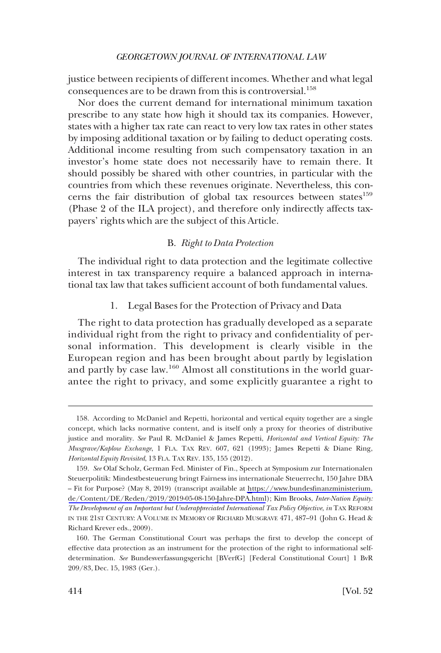<span id="page-33-0"></span>justice between recipients of different incomes. Whether and what legal consequences are to be drawn from this is controversial.<sup>158</sup>

Nor does the current demand for international minimum taxation prescribe to any state how high it should tax its companies. However, states with a higher tax rate can react to very low tax rates in other states by imposing additional taxation or by failing to deduct operating costs. Additional income resulting from such compensatory taxation in an investor's home state does not necessarily have to remain there. It should possibly be shared with other countries, in particular with the countries from which these revenues originate. Nevertheless, this concerns the fair distribution of global tax resources between states $159$ (Phase 2 of the ILA project), and therefore only indirectly affects taxpayers' rights which are the subject of this Article.

#### B. *Right to Data Protection*

The individual right to data protection and the legitimate collective interest in tax transparency require a balanced approach in international tax law that takes sufficient account of both fundamental values.

#### 1. Legal Bases for the Protection of Privacy and Data

The right to data protection has gradually developed as a separate individual right from the right to privacy and confidentiality of personal information. This development is clearly visible in the European region and has been brought about partly by legislation and partly by case law.160 Almost all constitutions in the world guarantee the right to privacy, and some explicitly guarantee a right to

<sup>158.</sup> According to McDaniel and Repetti, horizontal and vertical equity together are a single concept, which lacks normative content, and is itself only a proxy for theories of distributive justice and morality. *See* Paul R. McDaniel & James Repetti, *Horizontal and Vertical Equity: The Musgrave/Kaplow Exchange*, 1 FLA. TAX REV. 607, 621 (1993); James Repetti & Diane Ring, *Horizontal Equity Revisited*, 13 FLA. TAX REV. 135, 155 (2012).

<sup>159.</sup> See Olaf Scholz, German Fed. Minister of Fin., Speech at Symposium zur Internationalen Steuerpolitik: Mindestbesteuerung bringt Fairness ins internationale Steuerrecht, 150 Jahre DBA – Fit for Purpose? (May 8, 2019) (transcript available at [https://www.bundesfinanzministerium.](https://www.bundesfinanzministerium.de/Content/DE/Reden/2019/2019-05-08-150-Jahre-DPA.html) [de/Content/DE/Reden/2019/2019-05-08-150-Jahre-DPA.html](https://www.bundesfinanzministerium.de/Content/DE/Reden/2019/2019-05-08-150-Jahre-DPA.html)); Kim Brooks, *Inter-Nation Equity: The Development of an Important but Underappreciated International Tax Policy Objective*, *in* TAX REFORM IN THE 21ST CENTURY: A VOLUME IN MEMORY OF RICHARD MUSGRAVE 471, 487–91 (John G. Head & Richard Krever eds., 2009).

<sup>160.</sup> The German Constitutional Court was perhaps the first to develop the concept of effective data protection as an instrument for the protection of the right to informational selfdetermination. *See* Bundesverfassungsgericht [BVerfG] [Federal Constitutional Court] 1 BvR 209/83, Dec. 15, 1983 (Ger.).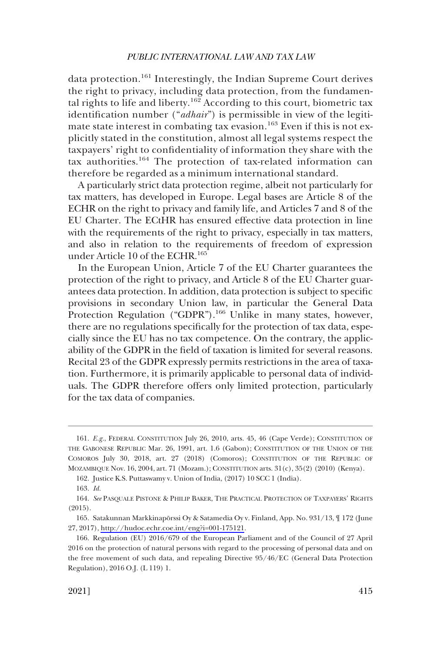data protection.<sup>161</sup> Interestingly, the Indian Supreme Court derives the right to privacy, including data protection, from the fundamental rights to life and liberty.<sup>162</sup> According to this court, biometric tax identification number ("*adhair*") is permissible in view of the legitimate state interest in combating tax evasion.<sup>163</sup> Even if this is not explicitly stated in the constitution, almost all legal systems respect the taxpayers' right to confidentiality of information they share with the tax authorities.164 The protection of tax-related information can therefore be regarded as a minimum international standard.

A particularly strict data protection regime, albeit not particularly for tax matters, has developed in Europe. Legal bases are Article 8 of the ECHR on the right to privacy and family life, and Articles 7 and 8 of the EU Charter. The ECtHR has ensured effective data protection in line with the requirements of the right to privacy, especially in tax matters, and also in relation to the requirements of freedom of expression under Article 10 of the ECHR.<sup>165</sup>

In the European Union, Article 7 of the EU Charter guarantees the protection of the right to privacy, and Article 8 of the EU Charter guarantees data protection. In addition, data protection is subject to specific provisions in secondary Union law, in particular the General Data Protection Regulation ("GDPR").<sup>166</sup> Unlike in many states, however, there are no regulations specifically for the protection of tax data, especially since the EU has no tax competence. On the contrary, the applicability of the GDPR in the field of taxation is limited for several reasons. Recital 23 of the GDPR expressly permits restrictions in the area of taxation. Furthermore, it is primarily applicable to personal data of individuals. The GDPR therefore offers only limited protection, particularly for the tax data of companies.

<sup>161.</sup> *E.g.*, FEDERAL CONSTITUTION July 26, 2010, arts. 45, 46 (Cape Verde); CONSTITUTION OF THE GABONESE REPUBLIC Mar. 26, 1991, art. 1.6 (Gabon); CONSTITUTION OF THE UNION OF THE COMOROS July 30, 2018, art. 27 (2018) (Comoros); CONSTITUTION OF THE REPUBLIC OF MOZAMBIQUE Nov. 16, 2004, art. 71 (Mozam.); CONSTITUTION arts. 31(c), 35(2) (2010) (Kenya).

<sup>162.</sup> Justice K.S. Puttaswamy v. Union of India, (2017) 10 SCC 1 (India).

<sup>163.</sup> *Id.* 

<sup>164.</sup> *See* PASQUALE PISTONE & PHILIP BAKER, THE PRACTICAL PROTECTION OF TAXPAYERS' RIGHTS (2015).

<sup>165.</sup> Satakunnan Markkinapörssi Oy & Satamedia Oy v. Finland, App. No. 931/13,  $\llbracket$  172 (June 27, 2017),<http://hudoc.echr.coe.int/eng?i=001-175121>.

<sup>166.</sup> Regulation (EU) 2016/679 of the European Parliament and of the Council of 27 April 2016 on the protection of natural persons with regard to the processing of personal data and on the free movement of such data, and repealing Directive 95/46/EC (General Data Protection Regulation), 2016 O.J. (L 119) 1.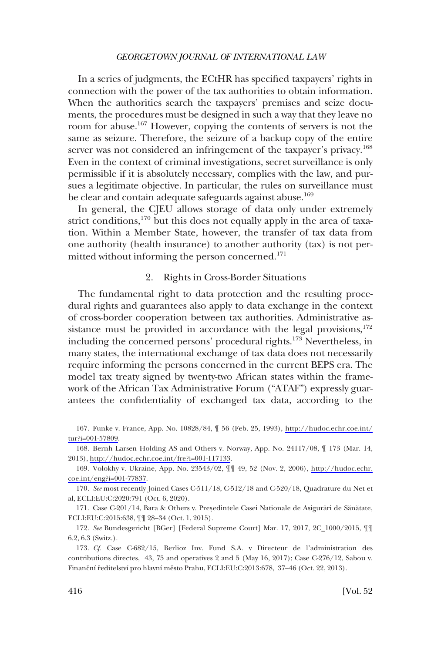<span id="page-35-0"></span>In a series of judgments, the ECtHR has specified taxpayers' rights in connection with the power of the tax authorities to obtain information. When the authorities search the taxpayers' premises and seize documents, the procedures must be designed in such a way that they leave no room for abuse.<sup>167</sup> However, copying the contents of servers is not the same as seizure. Therefore, the seizure of a backup copy of the entire server was not considered an infringement of the taxpayer's privacy.<sup>168</sup> Even in the context of criminal investigations, secret surveillance is only permissible if it is absolutely necessary, complies with the law, and pursues a legitimate objective. In particular, the rules on surveillance must be clear and contain adequate safeguards against abuse.<sup>169</sup>

In general, the CJEU allows storage of data only under extremely strict conditions, $170$  but this does not equally apply in the area of taxation. Within a Member State, however, the transfer of tax data from one authority (health insurance) to another authority (tax) is not permitted without informing the person concerned.<sup>171</sup>

## 2. Rights in Cross-Border Situations

The fundamental right to data protection and the resulting procedural rights and guarantees also apply to data exchange in the context of cross-border cooperation between tax authorities. Administrative assistance must be provided in accordance with the legal provisions, $172$ including the concerned persons' procedural rights.<sup>173</sup> Nevertheless, in many states, the international exchange of tax data does not necessarily require informing the persons concerned in the current BEPS era. The model tax treaty signed by twenty-two African states within the framework of the African Tax Administrative Forum ("ATAF") expressly guarantees the confidentiality of exchanged tax data, according to the

Funke v. France, App. No. 10828/84, ¶ 56 (Feb. 25, 1993), [http://hudoc.echr.coe.int/](http://hudoc.echr.coe.int/tur?i=001-57809) 167. [tur?i=001-57809](http://hudoc.echr.coe.int/tur?i=001-57809).

<sup>168.</sup> Bernh Larsen Holding AS and Others v. Norway, App. No. 24117/08,  $\parallel$  173 (Mar. 14, 2013),<http://hudoc.echr.coe.int/fre?i=001-117133>.

<sup>169.</sup> Volokhy v. Ukraine, App. No. 23543/02,  $\P\P$  49, 52 (Nov. 2, 2006), [http://hudoc.echr.](http://hudoc.echr.coe.int/eng?i=001-77837) [coe.int/eng?i=001-77837](http://hudoc.echr.coe.int/eng?i=001-77837).

<sup>170.</sup> *See* most recently Joined Cases C-511/18, C-512/18 and C-520/18, Quadrature du Net et al, ECLI:EU:C:2020:791 (Oct. 6, 2020).

<sup>171.</sup> Case C-201/14, Bara & Others v. Presedintele Casei Nationale de Asigurări de Sănătate, ECLI:EU:C:2015:638, ¶¶ 28–34 (Oct. 1, 2015).

<sup>172.</sup> *See* Bundesgericht [BGer] [Federal Supreme Court] Mar. 17, 2017, 2C\_1000/2015, ¶¶ 6.2, 6.3 (Switz.).

<sup>173.</sup> *Cf.* Case C-682/15, Berlioz Inv. Fund S.A. v Directeur de l'administration des contributions directes, 43, 75 and operatives 2 and 5 (May 16, 2017); Case C-276/12, Sabou v. Finanční ředitelství pro hlavní město Prahu, ECLI:EU:C:2013:678, 37–46 (Oct. 22, 2013).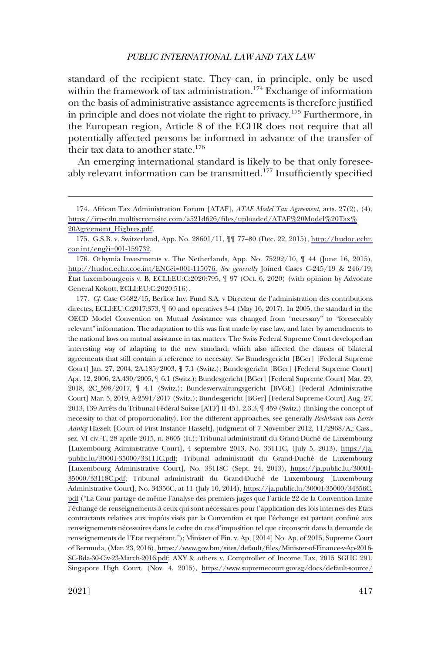standard of the recipient state. They can, in principle, only be used within the framework of tax administration.<sup>174</sup> Exchange of information on the basis of administrative assistance agreements is therefore justified in principle and does not violate the right to privacy.<sup>175</sup> Furthermore, in the European region, Article 8 of the ECHR does not require that all potentially affected persons be informed in advance of the transfer of their tax data to another state.<sup>176</sup>

An emerging international standard is likely to be that only foreseeably relevant information can be transmitted.<sup>177</sup> Insufficiently specified

*Cf.* Case C-682/15, Berlioz Inv. Fund S.A. v Directeur de l'administration des contributions 177. directes, ECLI:EU:C:2017:373,  $\oint$  60 and operatives 3–4 (May 16, 2017). In 2005, the standard in the OECD Model Convention on Mutual Assistance was changed from "necessary" to "foreseeably relevant" information. The adaptation to this was first made by case law, and later by amendments to the national laws on mutual assistance in tax matters. The Swiss Federal Supreme Court developed an interesting way of adapting to the new standard, which also affected the clauses of bilateral agreements that still contain a reference to necessity. *See* Bundesgericht [BGer] [Federal Supreme Court] Jan. 27, 2004, 2A.185/2003, ¶ 7.1 (Switz.); Bundesgericht [BGer] [Federal Supreme Court] Apr. 12, 2006, 2A.430/2005, ¶ 6.1 (Switz.); Bundesgericht [BGer] [Federal Supreme Court] Mar. 29, 2018, 2C\_598/2017, ¶ 4.1 (Switz.); Bundesverwaltungsgericht [BVGE] [Federal Administrative Court] Mar. 5, 2019, A-2591/2017 (Switz.); Bundesgericht [BGer] [Federal Supreme Court] Aug. 27, 2013, 139 Arrêts du Tribunal Fédéral Suisse [ATF] II 451, 2.3.3,  $\P$  459 (Switz.) (linking the concept of necessity to that of proportionality). For the different approaches, see generally *Rechtbank van Eerste Aanleg* Hasselt [Court of First Instance Hasselt], judgment of 7 November 2012, 11/2968/A,; Cass., sez. VI civ.-T, 28 aprile 2015, n. 8605 (It.); Tribunal administratif du Grand-Duché de Luxembourg [Luxembourg Administrative Court], 4 septembre 2013, No. 33111C, (July 5, 2013), [https://ja.](https://ja.public.lu/30001-35000/33111C.pdf)  [public.lu/30001-35000/33111C.pdf;](https://ja.public.lu/30001-35000/33111C.pdf) Tribunal administratif du Grand-Duche´ de Luxembourg [Luxembourg Administrative Court], No. 33118C (Sept. 24, 2013), [https://ja.public.lu/30001-](https://ja.public.lu/30001-35000/33118C.pdf)  [35000/33118C.pdf](https://ja.public.lu/30001-35000/33118C.pdf); Tribunal administratif du Grand-Duche´ de Luxembourg [Luxembourg Administrative Court], No. 34356C, at 11 (July 10, 2014), [https://ja.public.lu/30001-35000/34356C.](https://ja.public.lu/30001-35000/34356C.pdf)  [pdf](https://ja.public.lu/30001-35000/34356C.pdf) ("La Cour partage de même l'analyse des premiers juges que l'article 22 de la Convention limite l'échange de renseignements à ceux qui sont nécessaires pour l'application des lois internes des Etats contractants relatives aux impôts visés par la Convention et que l'échange est partant confiné aux renseignements ne´cessaires dans le cadre du cas d'imposition tel que circonscrit dans la demande de renseignements de l'Etat requérant."); Minister of Fin. v. Ap, [2014] No. Ap. of 2015, Supreme Court of Bermuda, (Mar. 23, 2016), [https://www.gov.bm/sites/default/files/Minister-of-Finance-v-Ap-2016-](https://www.gov.bm/sites/default/files/Minister-of-Finance-v-Ap-2016-SC-Bda-30-Civ-23-March-2016.pdf)  [SC-Bda-30-Civ-23-March-2016.pdf](https://www.gov.bm/sites/default/files/Minister-of-Finance-v-Ap-2016-SC-Bda-30-Civ-23-March-2016.pdf); AXY & others v. Comptroller of Income Tax, 2015 SGHC 291, Singapore High Court, (Nov. 4, 2015), [https://www.supremecourt.gov.sg/docs/default-source/](https://www.supremecourt.gov.sg/docs/default-source/module-document/judgement/2015-sghc-291.pdf) 

<sup>174.</sup> African Tax Administration Forum [ATAF], *ATAF Model Tax Agreement*, arts. 27(2), (4), [https://irp-cdn.multiscreensite.com/a521d626/files/uploaded/ATAF%20Model%20Tax%](https://irp-cdn.multiscreensite.com/a521d626/files/uploaded/ATAF%20Model%20Tax% 20Agreement_Highres.pdf)  [20Agreement\\_Highres.pdf.](https://irp-cdn.multiscreensite.com/a521d626/files/uploaded/ATAF%20Model%20Tax% 20Agreement_Highres.pdf)

<sup>175.</sup> G.S.B. v. Switzerland, App. No. 28601/11,  $\P\P$  77–80 (Dec. 22, 2015), [http://hudoc.echr.](http://hudoc.echr.coe.int/eng?i=001-159732) [coe.int/eng?i=001-159732](http://hudoc.echr.coe.int/eng?i=001-159732).

<sup>176.</sup> Othymia Investments v. The Netherlands, App. No.  $75292/10$ ,  $\parallel$  44 (June 16, 2015), <http://hudoc.echr.coe.int/ENG?i=001-115076.> *See generally* Joined Cases C-245/19 & 246/19, E´tat luxembourgeois v. B, ECLI:EU:C:2020:795, ¶ 97 (Oct. 6, 2020) (with opinion by Advocate General Kokott, ECLI:EU:C:2020:516).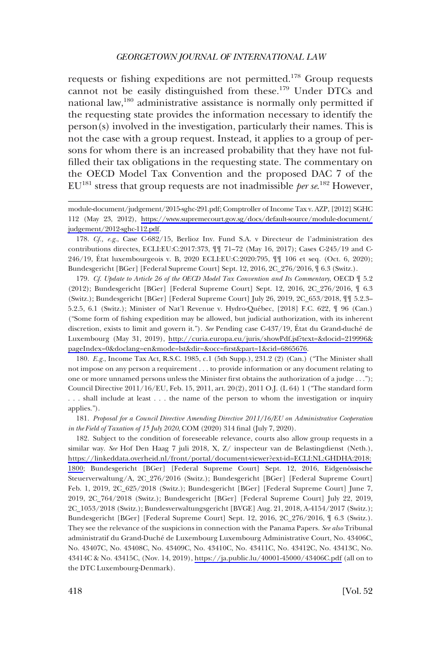requests or fishing expeditions are not permitted.<sup>178</sup> Group requests cannot not be easily distinguished from these.<sup>179</sup> Under DTCs and national law,180 administrative assistance is normally only permitted if the requesting state provides the information necessary to identify the person(s) involved in the investigation, particularly their names. This is not the case with a group request. Instead, it applies to a group of persons for whom there is an increased probability that they have not fulfilled their tax obligations in the requesting state. The commentary on the OECD Model Tax Convention and the proposed DAC 7 of the  $EU^{181}$  stress that group requests are not inadmissible *per se*.<sup>182</sup> However,

178. *Cf., e.g.*, Case C-682/15, Berlioz Inv. Fund S.A. v Directeur de l'administration des contributions directes, ECLI:EU:C:2017:373, ¶¶ 71–72 (May 16, 2017); Cases C-245/19 and C-246/19, État luxembourgeois v. B, 2020 ECLI:EU:C:2020:795,  $\P\P$  106 et seq. (Oct. 6, 2020); Bundesgericht [BGer] [Federal Supreme Court] Sept. 12, 2016, 2C\_276/2016, ¶ 6.3 (Switz.).

*Cf. Update to Article 26 of the OECD Model Tax Convention and Its Commentary*, OECD ¶ 5.2 179. (2012); Bundesgericht [BGer] [Federal Supreme Court] Sept. 12, 2016, 2C\_276/2016, ¶ 6.3 (Switz.); Bundesgericht [BGer] [Federal Supreme Court] July 26, 2019, 2C\_653/2018, ¶¶ 5.2.3– 5.2.5, 6.1 (Switz.); Minister of Nat'l Revenue v. Hydro-Québec, [2018] F.C. 622, ¶ 96 (Can.) ("Some form of fishing expedition may be allowed, but judicial authorization, with its inherent discretion, exists to limit and govern it."). *See* Pending case C-437/19, État du Grand-duché de Luxembourg (May 31, 2019), [http://curia.europa.eu/juris/showPdf.jsf?text=&docid=219996&](http://curia.europa.eu/juris/showPdf.jsf?text=&docid=219996&pageIndex=0&doclang=en&mode=lst&dir=&occ=first&part=1&cid=6865676) [pageIndex=0&doclang=en&mode=lst&dir=&occ=first&part=1&cid=6865676](http://curia.europa.eu/juris/showPdf.jsf?text=&docid=219996&pageIndex=0&doclang=en&mode=lst&dir=&occ=first&part=1&cid=6865676).

180. *E.g.*, Income Tax Act, R.S.C. 1985, c.1 (5th Supp.), 231.2 (2) (Can.) ("The Minister shall not impose on any person a requirement . . . to provide information or any document relating to one or more unnamed persons unless the Minister first obtains the authorization of a judge . . ."); Council Directive 2011/16/EU, Feb. 15, 2011, art. 20(2), 2011 O.J. (L 64) 1 ("The standard form . . . shall include at least . . . the name of the person to whom the investigation or inquiry applies.").

181. *Proposal for a Council Directive Amending Directive 2011/16/EU on Administrative Cooperation in the Field of Taxation of 15 July 2020*, COM (2020) 314 final (July 7, 2020).

182. Subject to the condition of foreseeable relevance, courts also allow group requests in a similar way. *See* Hof Den Haag 7 juli 2018, X, Z/ inspecteur van de Belastingdienst (Neth.), [https://linkeddata.overheid.nl/front/portal/document-viewer?ext-id=ECLI:NL:GHDHA:2018:](https://linkeddata.overheid.nl/front/portal/document-viewer?ext-id=ECLI:NL:GHDHA:2018:1800) [1800;](https://linkeddata.overheid.nl/front/portal/document-viewer?ext-id=ECLI:NL:GHDHA:2018:1800) Bundesgericht [BGer] [Federal Supreme Court] Sept. 12, 2016, Eidgenössische Steuerverwaltung/A, 2C\_276/2016 (Switz.); Bundesgericht [BGer] [Federal Supreme Court] Feb. 1, 2019, 2C\_625/2018 (Switz.); Bundesgericht [BGer] [Federal Supreme Court] June 7, 2019, 2C\_764/2018 (Switz.); Bundesgericht [BGer] [Federal Supreme Court] July 22, 2019, 2C\_1053/2018 (Switz.); Bundesverwaltungsgericht [BVGE] Aug. 21, 2018, A-4154/2017 (Switz.); Bundesgericht [BGer] [Federal Supreme Court] Sept. 12, 2016, 2C\_276/2016, ¶ 6.3 (Switz.). They see the relevance of the suspicions in connection with the Panama Papers. *See also* Tribunal administratif du Grand-Duché de Luxembourg Luxembourg Administrative Court, No. 43406C, No. 43407C, No. 43408C, No. 43409C, No. 43410C, No. 43411C, No. 43412C, No. 43413C, No. 43414C & No. 43415C, (Nov. 14, 2019),<https://ja.public.lu/40001-45000/43406C.pdf>(all on to the DTC Luxembourg-Denmark).

module-document/judgement/2015-sghc-291.pdf; Comptroller of Income Tax v. AZP, [2012] SGHC 112 (May 23, 2012), [https://www.supremecourt.gov.sg/docs/default-source/module-document/](https://www.supremecourt.gov.sg/docs/default-source/module-document/judgement/2012-sghc-112.pdf)  [judgement/2012-sghc-112.pdf.](https://www.supremecourt.gov.sg/docs/default-source/module-document/judgement/2012-sghc-112.pdf)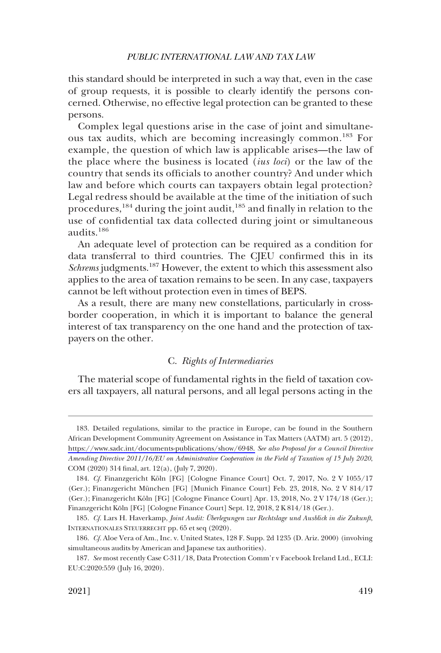<span id="page-38-0"></span>this standard should be interpreted in such a way that, even in the case of group requests, it is possible to clearly identify the persons concerned. Otherwise, no effective legal protection can be granted to these persons.

Complex legal questions arise in the case of joint and simultaneous tax audits, which are becoming increasingly common.<sup>183</sup> For example, the question of which law is applicable arises—the law of the place where the business is located (*ius loci*) or the law of the country that sends its officials to another country? And under which law and before which courts can taxpayers obtain legal protection? Legal redress should be available at the time of the initiation of such procedures,<sup>184</sup> during the joint audit,<sup>185</sup> and finally in relation to the use of confidential tax data collected during joint or simultaneous audits.<sup>186</sup>

An adequate level of protection can be required as a condition for data transferral to third countries. The CJEU confirmed this in its *Schrems* judgments.<sup>187</sup> However, the extent to which this assessment also applies to the area of taxation remains to be seen. In any case, taxpayers cannot be left without protection even in times of BEPS.

As a result, there are many new constellations, particularly in crossborder cooperation, in which it is important to balance the general interest of tax transparency on the one hand and the protection of taxpayers on the other.

# C. *Rights of Intermediaries*

The material scope of fundamental rights in the field of taxation covers all taxpayers, all natural persons, and all legal persons acting in the

<sup>183.</sup> Detailed regulations, similar to the practice in Europe, can be found in the Southern African Development Community Agreement on Assistance in Tax Matters (AATM) art. 5 (2012), [https://www.sadc.int/documents-publications/show/6948.](https://www.sadc.int/documents-publications/show/6948) *See also Proposal for a Council Directive Amending Directive 2011/16/EU on Administrative Cooperation in the Field of Taxation of 15 July 2020*, COM (2020) 314 final, art. 12(a), (July 7, 2020).

<sup>184.</sup> *Cf.* Finanzgericht Köln [FG] [Cologne Finance Court] Oct. 7, 2017, No. 2 V 1055/17 (Ger.); Finanzgericht München [FG] [Munich Finance Court] Feb. 23, 2018, No. 2 V 814/17 (Ger.); Finanzgericht Köln [FG] [Cologne Finance Court] Apr. 13, 2018, No. 2 V 174/18 (Ger.); Finanzgericht Köln [FG] [Cologne Finance Court] Sept. 12, 2018, 2 K 814/18 (Ger.).

<sup>185.</sup> *Cf.* Lars H. Haverkamp, *Joint Audit: U¨ berlegungen zur Rechtslage und Ausblick in die Zukunft*, INTERNATIONALES STEUERRECHT pp. 65 et seq (2020).

<sup>186.</sup> *Cf.* Aloe Vera of Am., Inc. v. United States, 128 F. Supp. 2d 1235 (D. Ariz. 2000) (involving simultaneous audits by American and Japanese tax authorities).

<sup>187.</sup> *See* most recently Case C-311/18, Data Protection Comm'r v Facebook Ireland Ltd., ECLI: EU:C:2020:559 (July 16, 2020).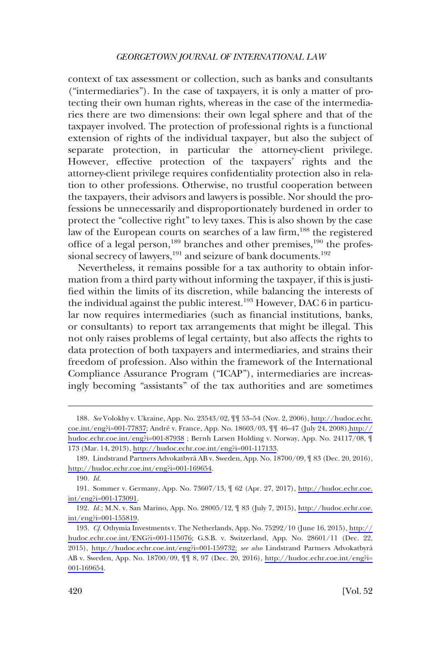context of tax assessment or collection, such as banks and consultants ("intermediaries"). In the case of taxpayers, it is only a matter of protecting their own human rights, whereas in the case of the intermediaries there are two dimensions: their own legal sphere and that of the taxpayer involved. The protection of professional rights is a functional extension of rights of the individual taxpayer, but also the subject of separate protection, in particular the attorney-client privilege. However, effective protection of the taxpayers' rights and the attorney-client privilege requires confidentiality protection also in relation to other professions. Otherwise, no trustful cooperation between the taxpayers, their advisors and lawyers is possible. Nor should the professions be unnecessarily and disproportionately burdened in order to protect the "collective right" to levy taxes. This is also shown by the case law of the European courts on searches of a law firm,<sup>188</sup> the registered office of a legal person,<sup>189</sup> branches and other premises,<sup>190</sup> the professional secrecy of lawyers, $^{191}$  and seizure of bank documents. $^{192}$ 

Nevertheless, it remains possible for a tax authority to obtain information from a third party without informing the taxpayer, if this is justified within the limits of its discretion, while balancing the interests of the individual against the public interest.<sup>193</sup> However, DAC 6 in particular now requires intermediaries (such as financial institutions, banks, or consultants) to report tax arrangements that might be illegal. This not only raises problems of legal certainty, but also affects the rights to data protection of both taxpayers and intermediaries, and strains their freedom of profession. Also within the framework of the International Compliance Assurance Program ("ICAP"), intermediaries are increasingly becoming "assistants" of the tax authorities and are sometimes

*See* Volokhy v. Ukraine, App. No. 23543/02, ¶¶ 53–54 (Nov. 2, 2006), [http://hudoc.echr.](http://hudoc.echr.coe.int/eng?i=001-77837) 188. [coe.int/eng?i=001-77837](http://hudoc.echr.coe.int/eng?i=001-77837); André v. France, App. No. 18603/03,  $\P$   $\P$  46–47 (July 24, 2008)[,http://](http://hudoc.echr.coe.int/eng?i=001-87938) [hudoc.echr.coe.int/eng?i=001-87938](http://hudoc.echr.coe.int/eng?i=001-87938) ; Bernh Larsen Holding v. Norway, App. No. 24117/08, ¶ 173 (Mar. 14, 2013), [http://hudoc.echr.coe.int/eng?i=001-117133.](http://hudoc.echr.coe.int/eng?i=001-117133)

<sup>189.</sup> Lindstrand Partners Advokatbyrå AB v. Sweden, App. No. 18700/09, ¶ 83 (Dec. 20, 2016), <http://hudoc.echr.coe.int/eng?i=001-169654>.

<sup>190.</sup> *Id.* 

<sup>191.</sup> Sommer v. Germany, App. No. 73607/13,  $\parallel$  62 (Apr. 27, 2017), [http://hudoc.echr.coe.](http://hudoc.echr.coe.int/eng?i=001-173091) [int/eng?i=001-173091](http://hudoc.echr.coe.int/eng?i=001-173091).

<sup>192.</sup> *Id.*; M.N. v. San Marino, App. No. 28005/12,  $\parallel$  83 (July 7, 2015), [http://hudoc.echr.coe.](http://hudoc.echr.coe.int/eng?i=001-155819) [int/eng?i=001-155819](http://hudoc.echr.coe.int/eng?i=001-155819).

*Cf.* Othymia Investments v. The Netherlands, App. No. 75292/10 (June 16, 2015), [http://](http://hudoc.echr.coe.int/ENG?i=001-115076) 193. [hudoc.echr.coe.int/ENG?i=001-115076](http://hudoc.echr.coe.int/ENG?i=001-115076); G.S.B. v. Switzerland, App. No. 28601/11 (Dec. 22, 2015), <http://hudoc.echr.coe.int/eng?i=001-159732;> *see also* Lindstrand Partners Advokatbyra˚ AB v. Sweden, App. No. 18700/09, ¶¶ 8, 97 (Dec. 20, 2016), [http://hudoc.echr.coe.int/eng?i=](http://hudoc.echr.coe.int/eng?i=001-169654) [001-169654](http://hudoc.echr.coe.int/eng?i=001-169654).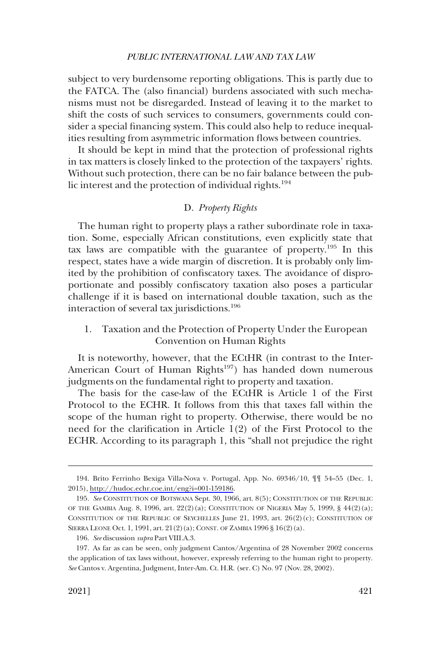<span id="page-40-0"></span>subject to very burdensome reporting obligations. This is partly due to the FATCA. The (also financial) burdens associated with such mechanisms must not be disregarded. Instead of leaving it to the market to shift the costs of such services to consumers, governments could consider a special financing system. This could also help to reduce inequalities resulting from asymmetric information flows between countries.

It should be kept in mind that the protection of professional rights in tax matters is closely linked to the protection of the taxpayers' rights. Without such protection, there can be no fair balance between the public interest and the protection of individual rights.<sup>194</sup>

# D. *Property Rights*

The human right to property plays a rather subordinate role in taxation. Some, especially African constitutions, even explicitly state that tax laws are compatible with the guarantee of property.195 In this respect, states have a wide margin of discretion. It is probably only limited by the prohibition of confiscatory taxes. The avoidance of disproportionate and possibly confiscatory taxation also poses a particular challenge if it is based on international double taxation, such as the interaction of several tax jurisdictions.<sup>196</sup>

# 1. Taxation and the Protection of Property Under the European Convention on Human Rights

It is noteworthy, however, that the ECtHR (in contrast to the Inter-American Court of Human Rights<sup>197</sup>) has handed down numerous judgments on the fundamental right to property and taxation.

The basis for the case-law of the ECtHR is Article 1 of the First Protocol to the ECHR. It follows from this that taxes fall within the scope of the human right to property. Otherwise, there would be no need for the clarification in Article 1(2) of the First Protocol to the ECHR. According to its paragraph 1, this "shall not prejudice the right

<sup>194.</sup> Brito Ferrinho Bexiga Villa-Nova v. Portugal, App. No. 69346/10,  $\P\P$  54–55 (Dec. 1, 2015),<http://hudoc.echr.coe.int/eng?i=001-159186>.

<sup>195.</sup> *See* CONSTITUTION OF BOTSWANA Sept. 30, 1966, art. 8(5); CONSTITUTION OF THE REPUBLIC OF THE GAMBIA Aug. 8, 1996, art.  $22(2)(a)$ ; CONSTITUTION OF NIGERIA May 5, 1999, §  $44(2)(a)$ ; CONSTITUTION OF THE REPUBLIC OF SEYCHELLES  $\lbrack \text{une 21, 1993, art. } 26(2)(c); \text{Construction of }$ SIERRA LEONE Oct. 1, 1991, art. 21(2)(a); CONST. OF ZAMBIA 1996 § 16(2)(a).

<sup>196.</sup> *See* discussion *supra* Part VIII.A.3.

<sup>197.</sup> As far as can be seen, only judgment Cantos/Argentina of 28 November 2002 concerns the application of tax laws without, however, expressly referring to the human right to property. *See* Cantos v. Argentina, Judgment, Inter-Am. Ct. H.R. (ser. C) No. 97 (Nov. 28, 2002).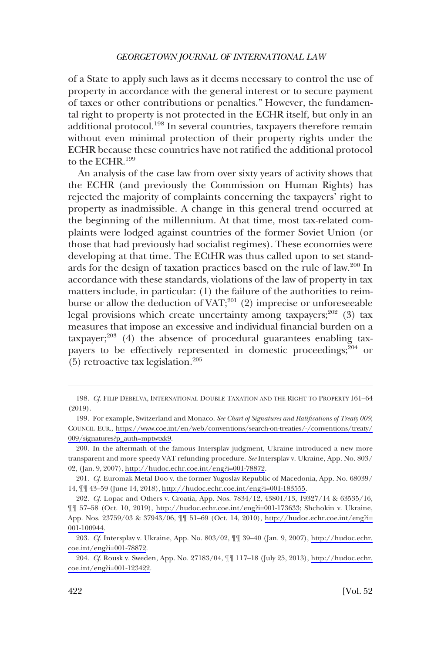of a State to apply such laws as it deems necessary to control the use of property in accordance with the general interest or to secure payment of taxes or other contributions or penalties." However, the fundamental right to property is not protected in the ECHR itself, but only in an additional protocol.198 In several countries, taxpayers therefore remain without even minimal protection of their property rights under the ECHR because these countries have not ratified the additional protocol to the ECHR.<sup>199</sup>

An analysis of the case law from over sixty years of activity shows that the ECHR (and previously the Commission on Human Rights) has rejected the majority of complaints concerning the taxpayers' right to property as inadmissible. A change in this general trend occurred at the beginning of the millennium. At that time, most tax-related complaints were lodged against countries of the former Soviet Union (or those that had previously had socialist regimes). These economies were developing at that time. The ECtHR was thus called upon to set standards for the design of taxation practices based on the rule of law.<sup>200</sup> In accordance with these standards, violations of the law of property in tax matters include, in particular: (1) the failure of the authorities to reimburse or allow the deduction of  $VAT;^{201}$  (2) imprecise or unforeseeable legal provisions which create uncertainty among taxpayers;<sup>202</sup> (3) tax measures that impose an excessive and individual financial burden on a  $\alpha$ taxpayer;<sup>203</sup> (4) the absence of procedural guarantees enabling taxpayers to be effectively represented in domestic proceedings; $^{204}$  or (5) retroactive tax legislation.205

<sup>198.</sup> *Cf.* FILIP DEBELVA, INTERNATIONAL DOUBLE TAXATION AND THE RIGHT TO PROPERTY 161–64 (2019).

<sup>199.</sup> For example, Switzerland and Monaco. See Chart of Signatures and Ratifications of Treaty 009, COUNCIL EUR., [https://www.coe.int/en/web/conventions/search-on-treaties/-/conventions/treaty/](https://www.coe.int/en/web/conventions/search-on-treaties/-/conventions/treaty/009/signatures?p_auth=mptwtxk9)  [009/signatures?p\\_auth=mptwtxk9.](https://www.coe.int/en/web/conventions/search-on-treaties/-/conventions/treaty/009/signatures?p_auth=mptwtxk9)

<sup>200.</sup> In the aftermath of the famous Intersplav judgment, Ukraine introduced a new more transparent and more speedy VAT refunding procedure. *See* Intersplav v. Ukraine, App. No. 803/ 02, (Jan. 9, 2007), [http://hudoc.echr.coe.int/eng?i=001-78872.](http://hudoc.echr.coe.int/eng?i=001-78872)

*Cf.* Euromak Metal Doo v. the former Yugoslav Republic of Macedonia, App. No. 68039/ 201. 14, ¶¶ 43–59 (June 14, 2018), [http://hudoc.echr.coe.int/eng?i=001-183555.](http://hudoc.echr.coe.int/eng?i=001-183555)

*Cf.* Lopac and Others v. Croatia, App. Nos. 7834/12, 43801/13, 19327/14 & 63535/16, 202. ¶¶ 57–58 (Oct. 10, 2019), <http://hudoc.echr.coe.int/eng?i=001-173633>; Shchokin v. Ukraine, App. Nos. 23759/03 & 37943/06, ¶¶ 51–69 (Oct. 14, 2010), [http://hudoc.echr.coe.int/eng?i=](http://hudoc.echr.coe.int/eng?i=001-100944) [001-100944](http://hudoc.echr.coe.int/eng?i=001-100944).

*Cf.* Intersplav v. Ukraine, App. No. 803/02, ¶¶ 39–40 (Jan. 9, 2007), [http://hudoc.echr.](http://hudoc.echr.coe.int/eng?i=001-78872) 203. [coe.int/eng?i=001-78872](http://hudoc.echr.coe.int/eng?i=001-78872).

*Cf.* Rousk v. Sweden, App. No. 27183/04, ¶¶ 117–18 (July 25, 2013), [http://hudoc.echr.](http://hudoc.echr.coe.int/eng?i=001-123422) 204. [coe.int/eng?i=001-123422](http://hudoc.echr.coe.int/eng?i=001-123422).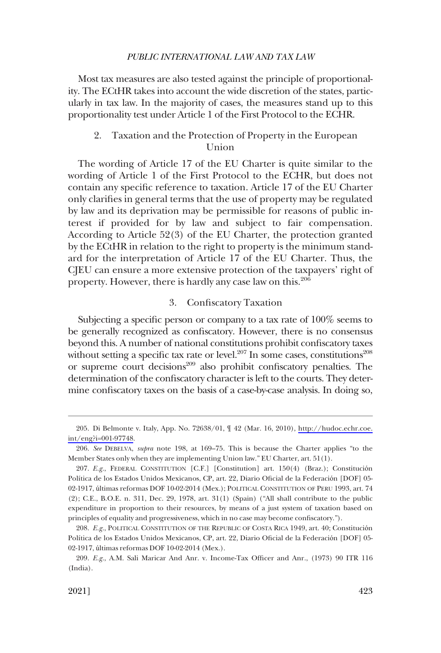<span id="page-42-0"></span>Most tax measures are also tested against the principle of proportionality. The ECtHR takes into account the wide discretion of the states, particularly in tax law. In the majority of cases, the measures stand up to this proportionality test under Article 1 of the First Protocol to the ECHR.

# 2. Taxation and the Protection of Property in the European Union

The wording of Article 17 of the EU Charter is quite similar to the wording of Article 1 of the First Protocol to the ECHR, but does not contain any specific reference to taxation. Article 17 of the EU Charter only clarifies in general terms that the use of property may be regulated by law and its deprivation may be permissible for reasons of public interest if provided for by law and subject to fair compensation. According to Article 52(3) of the EU Charter, the protection granted by the ECtHR in relation to the right to property is the minimum standard for the interpretation of Article 17 of the EU Charter. Thus, the CJEU can ensure a more extensive protection of the taxpayers' right of property. However, there is hardly any case law on this.206

# 3. Confiscatory Taxation

Subjecting a specific person or company to a tax rate of 100% seems to be generally recognized as confiscatory. However, there is no consensus beyond this. A number of national constitutions prohibit confiscatory taxes without setting a specific tax rate or level. $207$  In some cases, constitutions<sup>208</sup> or supreme court decisions $209$  also prohibit confiscatory penalties. The determination of the confiscatory character is left to the courts. They determine confiscatory taxes on the basis of a case-by-case analysis. In doing so,

<sup>205.</sup> Di Belmonte v. Italy, App. No. 72638/01,  $\parallel$  42 (Mar. 16, 2010), http://hudoc.echr.coe. [int/eng?i=001-97748.](http://hudoc.echr.coe.int/eng?i=001-97748)

<sup>206.</sup> *See* DEBELVA, *supra* note 198, at 169–75. This is because the Charter applies "to the Member States only when they are implementing Union law." EU Charter, art. 51(1).

<sup>207.</sup> *E.g.*, FEDERAL CONSTITUTION [C.F.] [Constitution] art. 150(4) (Braz.); Constitución Política de los Estados Unidos Mexicanos, CP, art. 22, Diario Oficial de la Federación [DOF] 05-02-1917, últimas reformas DOF 10-02-2014 (Mex.); POLITICAL CONSTITUTION OF PERU 1993, art. 74 (2); C.E., B.O.E. n. 311, Dec. 29, 1978, art. 31(1) (Spain) ("All shall contribute to the public expenditure in proportion to their resources, by means of a just system of taxation based on principles of equality and progressiveness, which in no case may become confiscatory.").

<sup>208.</sup> *E.g.*, POLITICAL CONSTITUTION OF THE REPUBLIC OF COSTA RICA 1949, art. 40; Constitución Política de los Estados Unidos Mexicanos, CP, art. 22, Diario Oficial de la Federación [DOF] 05-02-1917, últimas reformas DOF 10-02-2014 (Mex.).

<sup>209.</sup> *E.g.*, A.M. Sali Maricar And Anr. v. Income-Tax Officer and Anr., (1973) 90 ITR 116 (India).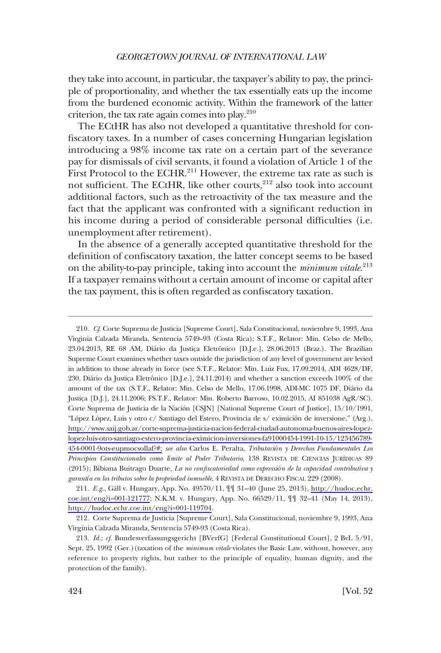they take into account, in particular, the taxpayer's ability to pay, the principle of proportionality, and whether the tax essentially eats up the income from the burdened economic activity. Within the framework of the latter criterion, the tax rate again comes into play. $2^{10}$ 

The ECtHR has also not developed a quantitative threshold for confiscatory taxes. In a number of cases concerning Hungarian legislation introducing a 98% income tax rate on a certain part of the severance pay for dismissals of civil servants, it found a violation of Article 1 of the First Protocol to the ECHR.<sup>211</sup> However, the extreme tax rate as such is not sufficient. The ECtHR, like other courts,<sup>212</sup> also took into account additional factors, such as the retroactivity of the tax measure and the fact that the applicant was confronted with a significant reduction in his income during a period of considerable personal difficulties (i.e. unemployment after retirement).

In the absence of a generally accepted quantitative threshold for the definition of confiscatory taxation, the latter concept seems to be based on the ability-to-pay principle, taking into account the *minimum vitale*. 213 If a taxpayer remains without a certain amount of income or capital after the tax payment, this is often regarded as confiscatory taxation.

*Cf.* Corte Suprema de Justicia [Supreme Court], Sala Constitucional, noviembre 9, 1993, Ana 210. Virginia Calzada Miranda, Sentencia 5749–93 (Costa Rica); S.T.F., Relator: Min. Celso de Mello, 23.04.2013, RE 68 AM, Diário da Justiça Eletrônico [D.J.e.], 28.06.2013 (Braz.). The Brazilian Supreme Court examines whether taxes outside the jurisdiction of any level of government are levied in addition to those already in force (see S.T.F., Relator: Min. Luiz Fux, 17.09.2014, ADI 4628/DF, 230, Diário da Justiça Eletrônico [D.J.e.], 24.11.2014) and whether a sanction exceeds 100% of the amount of the tax (S.T.F., Relator: Min. Celso de Mello, 17.06.1998, ADI-MC 1075 DF, Dia´rio da Justica [D.J.], 24.11.2006; FS.T.F., Relator: Min. Roberto Barroso, 10.02.2015, AI 851038 AgR/SC). Corte Suprema de Justicia de la Nación [CSJN] [National Supreme Court of Justice], 15/10/1991, "López López, Luis y otro c/ Santiago del Estero, Provincia de s/ eximición de inversione," (Arg.), [http://www.saij.gob.ar/corte-suprema-justicia-nacion-federal-ciudad-autonoma-buenos-aires-lopez](http://www.saij.gob.ar/corte-suprema-justicia-nacion-federal-ciudad-autonoma-buenos-aires-lopez-lopez-luis-otro-santiago-estero-provincia-eximicion-inversiones-fa91000454-1991-10-15/123456789-454-0001-9ots-eupmocsollaf?#;)[lopez-luis-otro-santiago-estero-provincia-eximicion-inversiones-fa91000454-1991-10-15/123456789-](http://www.saij.gob.ar/corte-suprema-justicia-nacion-federal-ciudad-autonoma-buenos-aires-lopez-lopez-luis-otro-santiago-estero-provincia-eximicion-inversiones-fa91000454-1991-10-15/123456789-454-0001-9ots-eupmocsollaf?#;) [454-0001-9ots-eupmocsollaf?#;](http://www.saij.gob.ar/corte-suprema-justicia-nacion-federal-ciudad-autonoma-buenos-aires-lopez-lopez-luis-otro-santiago-estero-provincia-eximicion-inversiones-fa91000454-1991-10-15/123456789-454-0001-9ots-eupmocsollaf?#;) *see also* Carlos E. Peralta, *Tributación y Derechos Fundamentales Los Principios Constitucionales como límite al Poder Tributario*, 138 REVISTA DE CIENCIAS [URÍDICAS 89 (2015); Bibiana Buitrago Duarte, *La no confiscatoriedad como expressión de la capacidad contributiva y garantía en los tributos sobre la propriedad inmueble*, 4 REVISTA DE DERECHO FISCAL 229 (2008).

211. E.g., Gáll v. Hungary, App. No. 49570/11,  $\left| \mathbb{T} \right|$  31–40 (June 25, 2013), [http://hudoc.echr.](http://hudoc.echr.coe.int/eng?i=001-121777) [coe.int/eng?i=001-121777](http://hudoc.echr.coe.int/eng?i=001-121777); N.K.M. v. Hungary, App. No. 66529/11, ¶¶ 32–41 (May 14, 2013), <http://hudoc.echr.coe.int/eng?i=001-119704>.

212. Corte Suprema de Justicia [Supreme Court], Sala Constitucional, noviembre 9, 1993, Ana Virginia Calzada Miranda, Sentencia 5749-93 (Costa Rica).

<sup>213.</sup> *Id.*; *cf.* Bundesverfassungsgericht [BVerfG] [Federal Constitutional Court], 2 BvL 5/91, Sept. 25, 1992 (Ger.)(taxation of the *minimum vitale* violates the Basic Law, without, however, any reference to property rights, but rather to the principle of equality, human dignity, and the protection of the family).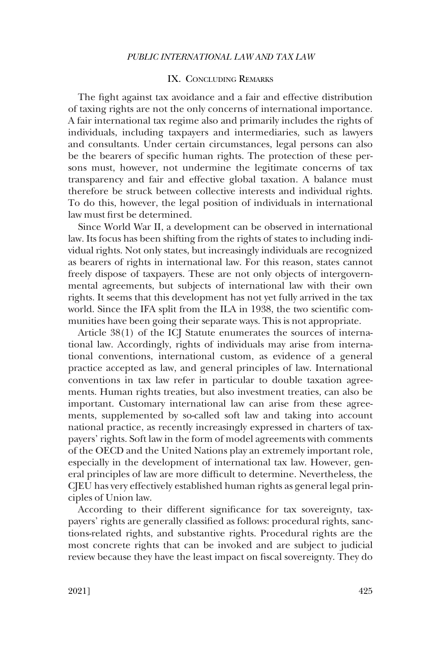# IX. CONCLUDING REMARKS

<span id="page-44-0"></span>The fight against tax avoidance and a fair and effective distribution of taxing rights are not the only concerns of international importance. A fair international tax regime also and primarily includes the rights of individuals, including taxpayers and intermediaries, such as lawyers and consultants. Under certain circumstances, legal persons can also be the bearers of specific human rights. The protection of these persons must, however, not undermine the legitimate concerns of tax transparency and fair and effective global taxation. A balance must therefore be struck between collective interests and individual rights. To do this, however, the legal position of individuals in international law must first be determined.

Since World War II, a development can be observed in international law. Its focus has been shifting from the rights of states to including individual rights. Not only states, but increasingly individuals are recognized as bearers of rights in international law. For this reason, states cannot freely dispose of taxpayers. These are not only objects of intergovernmental agreements, but subjects of international law with their own rights. It seems that this development has not yet fully arrived in the tax world. Since the IFA split from the ILA in 1938, the two scientific communities have been going their separate ways. This is not appropriate.

Article 38(1) of the ICJ Statute enumerates the sources of international law. Accordingly, rights of individuals may arise from international conventions, international custom, as evidence of a general practice accepted as law, and general principles of law. International conventions in tax law refer in particular to double taxation agreements. Human rights treaties, but also investment treaties, can also be important. Customary international law can arise from these agreements, supplemented by so-called soft law and taking into account national practice, as recently increasingly expressed in charters of taxpayers' rights. Soft law in the form of model agreements with comments of the OECD and the United Nations play an extremely important role, especially in the development of international tax law. However, general principles of law are more difficult to determine. Nevertheless, the CJEU has very effectively established human rights as general legal principles of Union law.

According to their different significance for tax sovereignty, taxpayers' rights are generally classified as follows: procedural rights, sanctions-related rights, and substantive rights. Procedural rights are the most concrete rights that can be invoked and are subject to judicial review because they have the least impact on fiscal sovereignty. They do